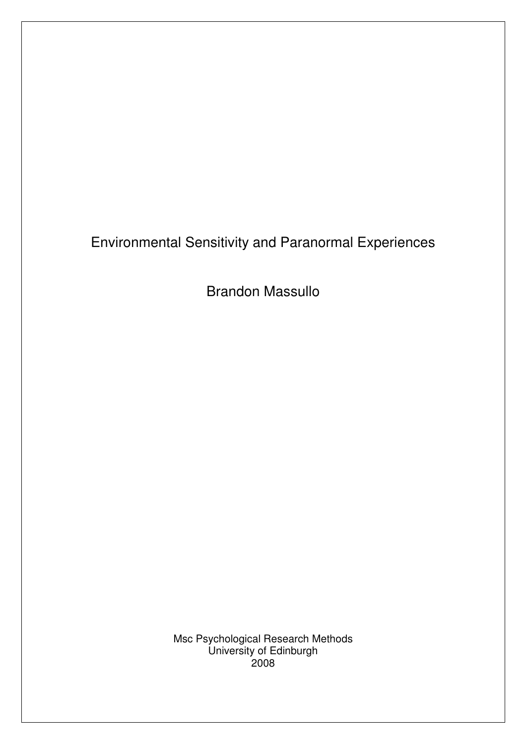Brandon Massullo

Msc Psychological Research Methods University of Edinburgh 2008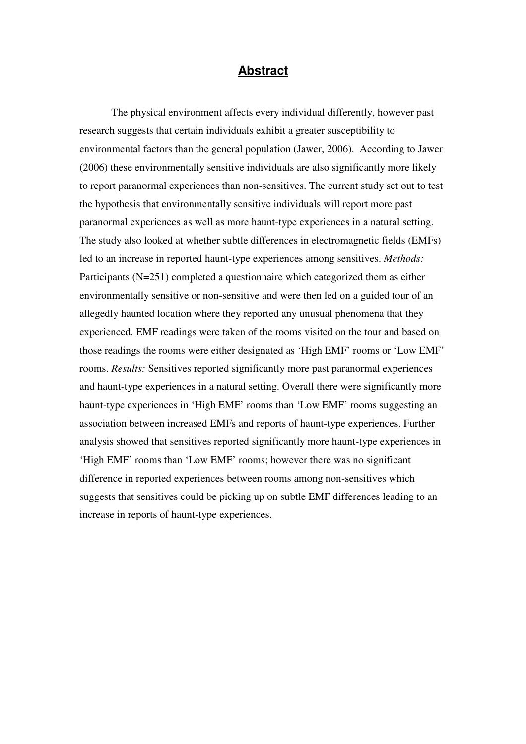### Abstract

The physical environment affects every individual differently, however past research suggests that certain individuals exhibit a greater susceptibility to environmental factors than the general population (Jawer, 2006). According to Jawer (2006) these environmentally sensitive individuals are also significantly more likely to report paranormal experiences than non-sensitives. The current study set out to test the hypothesis that environmentally sensitive individuals will report more past paranormal experiences as well as more haunt-type experiences in a natural setting. The study also looked at whether subtle differences in electromagnetic fields (EMFs) led to an increase in reported haunt-type experiences among sensitives. Methods: Participants (N=251) completed a questionnaire which categorized them as either environmentally sensitive or non-sensitive and were then led on a guided tour of an allegedly haunted location where they reported any unusual phenomena that they experienced. EMF readings were taken of the rooms visited on the tour and based on those readings the rooms were either designated as 'High EMF' rooms or 'Low EMF' rooms. Results: Sensitives reported significantly more past paranormal experiences and haunt-type experiences in a natural setting. Overall there were significantly more haunt-type experiences in 'High EMF' rooms than 'Low EMF' rooms suggesting an association between increased EMFs and reports of haunt-type experiences. Further analysis showed that sensitives reported significantly more haunt-type experiences in 'High EMF' rooms than 'Low EMF' rooms; however there was no significant difference in reported experiences between rooms among non-sensitives which suggests that sensitives could be picking up on subtle EMF differences leading to an increase in reports of haunt-type experiences.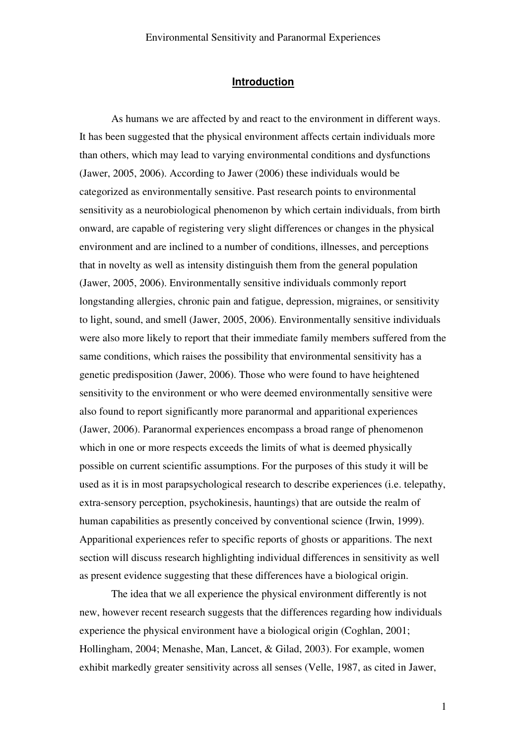### **Introduction**

As humans we are affected by and react to the environment in different ways. It has been suggested that the physical environment affects certain individuals more than others, which may lead to varying environmental conditions and dysfunctions (Jawer, 2005, 2006). According to Jawer (2006) these individuals would be categorized as environmentally sensitive. Past research points to environmental sensitivity as a neurobiological phenomenon by which certain individuals, from birth onward, are capable of registering very slight differences or changes in the physical environment and are inclined to a number of conditions, illnesses, and perceptions that in novelty as well as intensity distinguish them from the general population (Jawer, 2005, 2006). Environmentally sensitive individuals commonly report longstanding allergies, chronic pain and fatigue, depression, migraines, or sensitivity to light, sound, and smell (Jawer, 2005, 2006). Environmentally sensitive individuals were also more likely to report that their immediate family members suffered from the same conditions, which raises the possibility that environmental sensitivity has a genetic predisposition (Jawer, 2006). Those who were found to have heightened sensitivity to the environment or who were deemed environmentally sensitive were also found to report significantly more paranormal and apparitional experiences (Jawer, 2006). Paranormal experiences encompass a broad range of phenomenon which in one or more respects exceeds the limits of what is deemed physically possible on current scientific assumptions. For the purposes of this study it will be used as it is in most parapsychological research to describe experiences (i.e. telepathy, extra-sensory perception, psychokinesis, hauntings) that are outside the realm of human capabilities as presently conceived by conventional science (Irwin, 1999). Apparitional experiences refer to specific reports of ghosts or apparitions. The next section will discuss research highlighting individual differences in sensitivity as well as present evidence suggesting that these differences have a biological origin.

 The idea that we all experience the physical environment differently is not new, however recent research suggests that the differences regarding how individuals experience the physical environment have a biological origin (Coghlan, 2001; Hollingham, 2004; Menashe, Man, Lancet, & Gilad, 2003). For example, women exhibit markedly greater sensitivity across all senses (Velle, 1987, as cited in Jawer,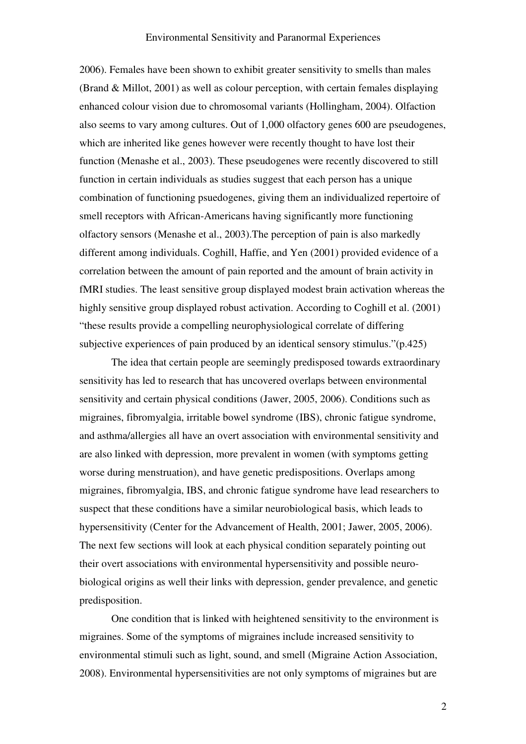2006). Females have been shown to exhibit greater sensitivity to smells than males (Brand & Millot, 2001) as well as colour perception, with certain females displaying enhanced colour vision due to chromosomal variants (Hollingham, 2004). Olfaction also seems to vary among cultures. Out of 1,000 olfactory genes 600 are pseudogenes, which are inherited like genes however were recently thought to have lost their function (Menashe et al., 2003). These pseudogenes were recently discovered to still function in certain individuals as studies suggest that each person has a unique combination of functioning psuedogenes, giving them an individualized repertoire of smell receptors with African-Americans having significantly more functioning olfactory sensors (Menashe et al., 2003).The perception of pain is also markedly different among individuals. Coghill, Haffie, and Yen (2001) provided evidence of a correlation between the amount of pain reported and the amount of brain activity in fMRI studies. The least sensitive group displayed modest brain activation whereas the highly sensitive group displayed robust activation. According to Coghill et al. (2001) "these results provide a compelling neurophysiological correlate of differing subjective experiences of pain produced by an identical sensory stimulus."(p.425)

 The idea that certain people are seemingly predisposed towards extraordinary sensitivity has led to research that has uncovered overlaps between environmental sensitivity and certain physical conditions (Jawer, 2005, 2006). Conditions such as migraines, fibromyalgia, irritable bowel syndrome (IBS), chronic fatigue syndrome, and asthma/allergies all have an overt association with environmental sensitivity and are also linked with depression, more prevalent in women (with symptoms getting worse during menstruation), and have genetic predispositions. Overlaps among migraines, fibromyalgia, IBS, and chronic fatigue syndrome have lead researchers to suspect that these conditions have a similar neurobiological basis, which leads to hypersensitivity (Center for the Advancement of Health, 2001; Jawer, 2005, 2006). The next few sections will look at each physical condition separately pointing out their overt associations with environmental hypersensitivity and possible neurobiological origins as well their links with depression, gender prevalence, and genetic predisposition.

One condition that is linked with heightened sensitivity to the environment is migraines. Some of the symptoms of migraines include increased sensitivity to environmental stimuli such as light, sound, and smell (Migraine Action Association, 2008). Environmental hypersensitivities are not only symptoms of migraines but are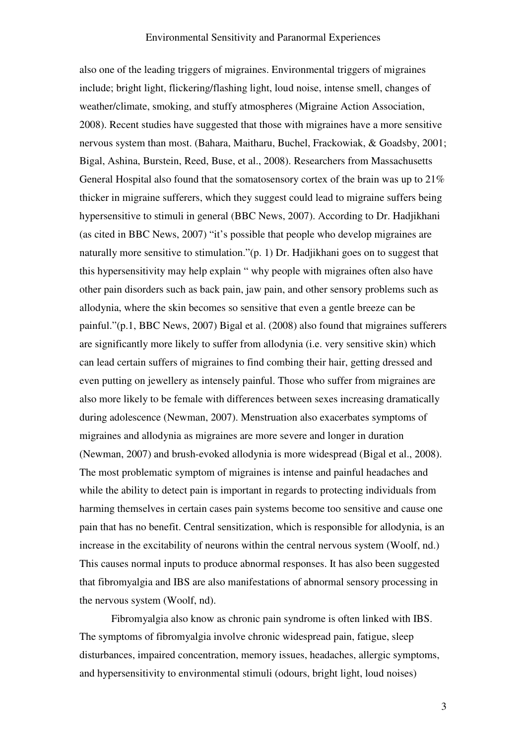also one of the leading triggers of migraines. Environmental triggers of migraines include; bright light, flickering/flashing light, loud noise, intense smell, changes of weather/climate, smoking, and stuffy atmospheres (Migraine Action Association, 2008). Recent studies have suggested that those with migraines have a more sensitive nervous system than most. (Bahara, Maitharu, Buchel, Frackowiak, & Goadsby, 2001; Bigal, Ashina, Burstein, Reed, Buse, et al., 2008). Researchers from Massachusetts General Hospital also found that the somatosensory cortex of the brain was up to 21% thicker in migraine sufferers, which they suggest could lead to migraine suffers being hypersensitive to stimuli in general (BBC News, 2007). According to Dr. Hadjikhani (as cited in BBC News, 2007) "it's possible that people who develop migraines are naturally more sensitive to stimulation."(p. 1) Dr. Hadjikhani goes on to suggest that this hypersensitivity may help explain " why people with migraines often also have other pain disorders such as back pain, jaw pain, and other sensory problems such as allodynia, where the skin becomes so sensitive that even a gentle breeze can be painful."(p.1, BBC News, 2007) Bigal et al. (2008) also found that migraines sufferers are significantly more likely to suffer from allodynia (i.e. very sensitive skin) which can lead certain suffers of migraines to find combing their hair, getting dressed and even putting on jewellery as intensely painful. Those who suffer from migraines are also more likely to be female with differences between sexes increasing dramatically during adolescence (Newman, 2007). Menstruation also exacerbates symptoms of migraines and allodynia as migraines are more severe and longer in duration (Newman, 2007) and brush-evoked allodynia is more widespread (Bigal et al., 2008). The most problematic symptom of migraines is intense and painful headaches and while the ability to detect pain is important in regards to protecting individuals from harming themselves in certain cases pain systems become too sensitive and cause one pain that has no benefit. Central sensitization, which is responsible for allodynia, is an increase in the excitability of neurons within the central nervous system (Woolf, nd.) This causes normal inputs to produce abnormal responses. It has also been suggested that fibromyalgia and IBS are also manifestations of abnormal sensory processing in the nervous system (Woolf, nd).

Fibromyalgia also know as chronic pain syndrome is often linked with IBS. The symptoms of fibromyalgia involve chronic widespread pain, fatigue, sleep disturbances, impaired concentration, memory issues, headaches, allergic symptoms, and hypersensitivity to environmental stimuli (odours, bright light, loud noises)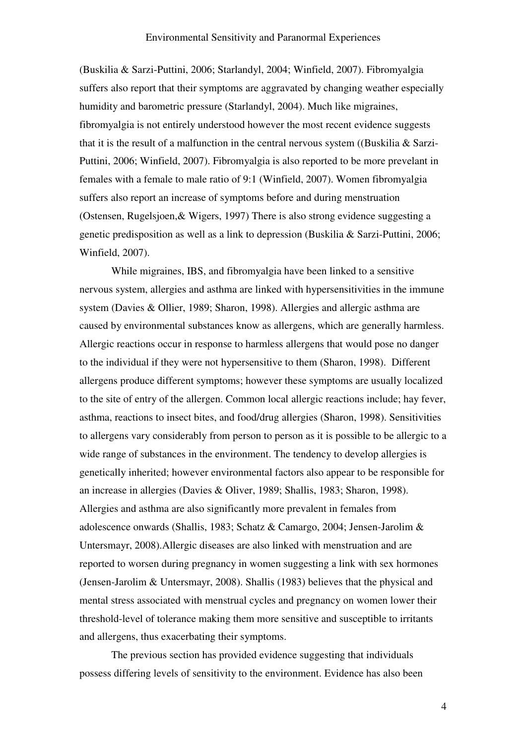(Buskilia & Sarzi-Puttini, 2006; Starlandyl, 2004; Winfield, 2007). Fibromyalgia suffers also report that their symptoms are aggravated by changing weather especially humidity and barometric pressure (Starlandyl, 2004). Much like migraines, fibromyalgia is not entirely understood however the most recent evidence suggests that it is the result of a malfunction in the central nervous system ((Buskilia  $\&$  Sarzi-Puttini, 2006; Winfield, 2007). Fibromyalgia is also reported to be more prevelant in females with a female to male ratio of 9:1 (Winfield, 2007). Women fibromyalgia suffers also report an increase of symptoms before and during menstruation (Ostensen, Rugelsjoen,& Wigers, 1997) There is also strong evidence suggesting a genetic predisposition as well as a link to depression (Buskilia & Sarzi-Puttini, 2006; Winfield, 2007).

While migraines, IBS, and fibromyalgia have been linked to a sensitive nervous system, allergies and asthma are linked with hypersensitivities in the immune system (Davies & Ollier, 1989; Sharon, 1998). Allergies and allergic asthma are caused by environmental substances know as allergens, which are generally harmless. Allergic reactions occur in response to harmless allergens that would pose no danger to the individual if they were not hypersensitive to them (Sharon, 1998). Different allergens produce different symptoms; however these symptoms are usually localized to the site of entry of the allergen. Common local allergic reactions include; hay fever, asthma, reactions to insect bites, and food/drug allergies (Sharon, 1998). Sensitivities to allergens vary considerably from person to person as it is possible to be allergic to a wide range of substances in the environment. The tendency to develop allergies is genetically inherited; however environmental factors also appear to be responsible for an increase in allergies (Davies & Oliver, 1989; Shallis, 1983; Sharon, 1998). Allergies and asthma are also significantly more prevalent in females from adolescence onwards (Shallis, 1983; Schatz & Camargo, 2004; Jensen-Jarolim & Untersmayr, 2008).Allergic diseases are also linked with menstruation and are reported to worsen during pregnancy in women suggesting a link with sex hormones (Jensen-Jarolim & Untersmayr, 2008). Shallis (1983) believes that the physical and mental stress associated with menstrual cycles and pregnancy on women lower their threshold-level of tolerance making them more sensitive and susceptible to irritants and allergens, thus exacerbating their symptoms.

The previous section has provided evidence suggesting that individuals possess differing levels of sensitivity to the environment. Evidence has also been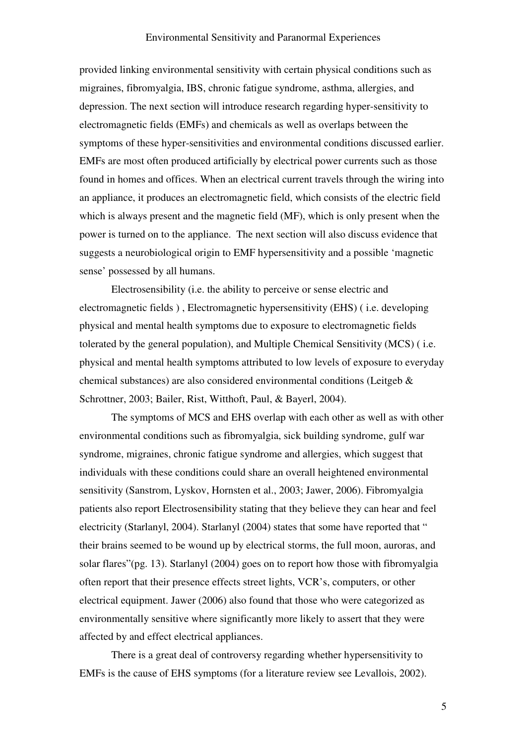provided linking environmental sensitivity with certain physical conditions such as migraines, fibromyalgia, IBS, chronic fatigue syndrome, asthma, allergies, and depression. The next section will introduce research regarding hyper-sensitivity to electromagnetic fields (EMFs) and chemicals as well as overlaps between the symptoms of these hyper-sensitivities and environmental conditions discussed earlier. EMFs are most often produced artificially by electrical power currents such as those found in homes and offices. When an electrical current travels through the wiring into an appliance, it produces an electromagnetic field, which consists of the electric field which is always present and the magnetic field (MF), which is only present when the power is turned on to the appliance. The next section will also discuss evidence that suggests a neurobiological origin to EMF hypersensitivity and a possible 'magnetic sense' possessed by all humans.

Electrosensibility (i.e. the ability to perceive or sense electric and electromagnetic fields ) , Electromagnetic hypersensitivity (EHS) ( i.e. developing physical and mental health symptoms due to exposure to electromagnetic fields tolerated by the general population), and Multiple Chemical Sensitivity (MCS) ( i.e. physical and mental health symptoms attributed to low levels of exposure to everyday chemical substances) are also considered environmental conditions (Leitgeb & Schrottner, 2003; Bailer, Rist, Witthoft, Paul, & Bayerl, 2004).

The symptoms of MCS and EHS overlap with each other as well as with other environmental conditions such as fibromyalgia, sick building syndrome, gulf war syndrome, migraines, chronic fatigue syndrome and allergies, which suggest that individuals with these conditions could share an overall heightened environmental sensitivity (Sanstrom, Lyskov, Hornsten et al., 2003; Jawer, 2006). Fibromyalgia patients also report Electrosensibility stating that they believe they can hear and feel electricity (Starlanyl, 2004). Starlanyl (2004) states that some have reported that " their brains seemed to be wound up by electrical storms, the full moon, auroras, and solar flares"(pg. 13). Starlanyl (2004) goes on to report how those with fibromyalgia often report that their presence effects street lights, VCR's, computers, or other electrical equipment. Jawer (2006) also found that those who were categorized as environmentally sensitive where significantly more likely to assert that they were affected by and effect electrical appliances.

There is a great deal of controversy regarding whether hypersensitivity to EMFs is the cause of EHS symptoms (for a literature review see Levallois, 2002).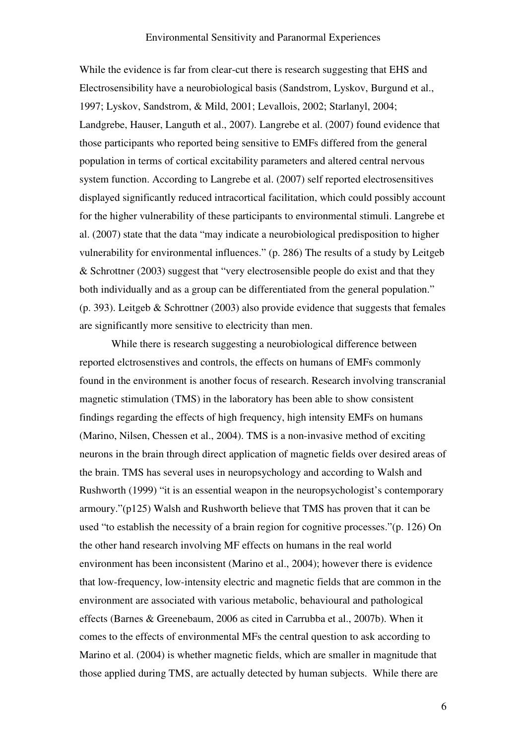While the evidence is far from clear-cut there is research suggesting that EHS and Electrosensibility have a neurobiological basis (Sandstrom, Lyskov, Burgund et al., 1997; Lyskov, Sandstrom, & Mild, 2001; Levallois, 2002; Starlanyl, 2004; Landgrebe, Hauser, Languth et al., 2007). Langrebe et al. (2007) found evidence that those participants who reported being sensitive to EMFs differed from the general population in terms of cortical excitability parameters and altered central nervous system function. According to Langrebe et al. (2007) self reported electrosensitives displayed significantly reduced intracortical facilitation, which could possibly account for the higher vulnerability of these participants to environmental stimuli. Langrebe et al. (2007) state that the data "may indicate a neurobiological predisposition to higher vulnerability for environmental influences." (p. 286) The results of a study by Leitgeb & Schrottner (2003) suggest that "very electrosensible people do exist and that they both individually and as a group can be differentiated from the general population." (p. 393). Leitgeb & Schrottner (2003) also provide evidence that suggests that females are significantly more sensitive to electricity than men.

 While there is research suggesting a neurobiological difference between reported elctrosenstives and controls, the effects on humans of EMFs commonly found in the environment is another focus of research. Research involving transcranial magnetic stimulation (TMS) in the laboratory has been able to show consistent findings regarding the effects of high frequency, high intensity EMFs on humans (Marino, Nilsen, Chessen et al., 2004). TMS is a non-invasive method of exciting neurons in the brain through direct application of magnetic fields over desired areas of the brain. TMS has several uses in neuropsychology and according to Walsh and Rushworth (1999) "it is an essential weapon in the neuropsychologist's contemporary armoury."(p125) Walsh and Rushworth believe that TMS has proven that it can be used "to establish the necessity of a brain region for cognitive processes."(p. 126) On the other hand research involving MF effects on humans in the real world environment has been inconsistent (Marino et al., 2004); however there is evidence that low-frequency, low-intensity electric and magnetic fields that are common in the environment are associated with various metabolic, behavioural and pathological effects (Barnes & Greenebaum, 2006 as cited in Carrubba et al., 2007b). When it comes to the effects of environmental MFs the central question to ask according to Marino et al. (2004) is whether magnetic fields, which are smaller in magnitude that those applied during TMS, are actually detected by human subjects. While there are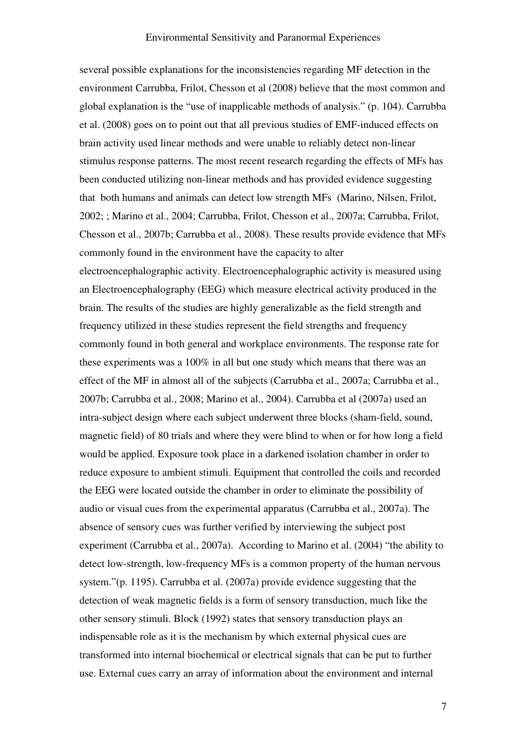several possible explanations for the inconsistencies regarding MF detection in the environment Carrubba, Frilot, Chesson et al (2008) believe that the most common and global explanation is the "use of inapplicable methods of analysis." (p. 104). Carrubba et al. (2008) goes on to point out that all previous studies of EMF-induced effects on brain activity used linear methods and were unable to reliably detect non-linear stimulus response patterns. The most recent research regarding the effects of MFs has been conducted utilizing non-linear methods and has provided evidence suggesting that both humans and animals can detect low strength MFs (Marino, Nilsen, Frilot, 2002; ; Marino et al., 2004; Carrubba, Frilot, Chesson et al., 2007a; Carrubba, Frilot, Chesson et al., 2007b; Carrubba et al., 2008). These results provide evidence that MFs commonly found in the environment have the capacity to alter electroencephalographic activity. Electroencephalographic activity is measured using an Electroencephalography (EEG) which measure electrical activity produced in the brain. The results of the studies are highly generalizable as the field strength and frequency utilized in these studies represent the field strengths and frequency commonly found in both general and workplace environments. The response rate for these experiments was a 100% in all but one study which means that there was an effect of the MF in almost all of the subjects (Carrubba et al., 2007a; Carrubba et al., 2007b; Carrubba et al., 2008; Marino et al., 2004). Carrubba et al (2007a) used an intra-subject design where each subject underwent three blocks (sham-field, sound, magnetic field) of 80 trials and where they were blind to when or for how long a field would be applied. Exposure took place in a darkened isolation chamber in order to reduce exposure to ambient stimuli. Equipment that controlled the coils and recorded the EEG were located outside the chamber in order to eliminate the possibility of audio or visual cues from the experimental apparatus (Carrubba et al., 2007a). The absence of sensory cues was further verified by interviewing the subject post experiment (Carrubba et al., 2007a). According to Marino et al. (2004) "the ability to detect low-strength, low-frequency MFs is a common property of the human nervous system."(p. 1195). Carrubba et al. (2007a) provide evidence suggesting that the detection of weak magnetic fields is a form of sensory transduction, much like the other sensory stimuli. Block (1992) states that sensory transduction plays an indispensable role as it is the mechanism by which external physical cues are transformed into internal biochemical or electrical signals that can be put to further use. External cues carry an array of information about the environment and internal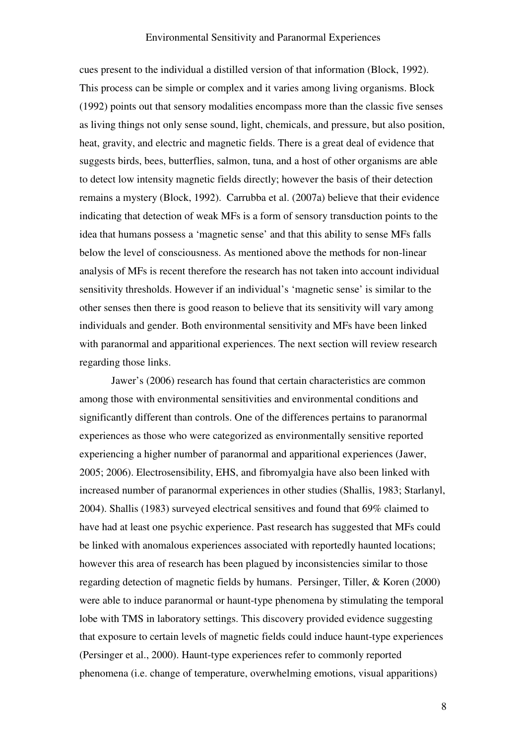cues present to the individual a distilled version of that information (Block, 1992). This process can be simple or complex and it varies among living organisms. Block (1992) points out that sensory modalities encompass more than the classic five senses as living things not only sense sound, light, chemicals, and pressure, but also position, heat, gravity, and electric and magnetic fields. There is a great deal of evidence that suggests birds, bees, butterflies, salmon, tuna, and a host of other organisms are able to detect low intensity magnetic fields directly; however the basis of their detection remains a mystery (Block, 1992). Carrubba et al. (2007a) believe that their evidence indicating that detection of weak MFs is a form of sensory transduction points to the idea that humans possess a 'magnetic sense' and that this ability to sense MFs falls below the level of consciousness. As mentioned above the methods for non-linear analysis of MFs is recent therefore the research has not taken into account individual sensitivity thresholds. However if an individual's 'magnetic sense' is similar to the other senses then there is good reason to believe that its sensitivity will vary among individuals and gender. Both environmental sensitivity and MFs have been linked with paranormal and apparitional experiences. The next section will review research regarding those links.

Jawer's (2006) research has found that certain characteristics are common among those with environmental sensitivities and environmental conditions and significantly different than controls. One of the differences pertains to paranormal experiences as those who were categorized as environmentally sensitive reported experiencing a higher number of paranormal and apparitional experiences (Jawer, 2005; 2006). Electrosensibility, EHS, and fibromyalgia have also been linked with increased number of paranormal experiences in other studies (Shallis, 1983; Starlanyl, 2004). Shallis (1983) surveyed electrical sensitives and found that 69% claimed to have had at least one psychic experience. Past research has suggested that MFs could be linked with anomalous experiences associated with reportedly haunted locations; however this area of research has been plagued by inconsistencies similar to those regarding detection of magnetic fields by humans. Persinger, Tiller, & Koren (2000) were able to induce paranormal or haunt-type phenomena by stimulating the temporal lobe with TMS in laboratory settings. This discovery provided evidence suggesting that exposure to certain levels of magnetic fields could induce haunt-type experiences (Persinger et al., 2000). Haunt-type experiences refer to commonly reported phenomena (i.e. change of temperature, overwhelming emotions, visual apparitions)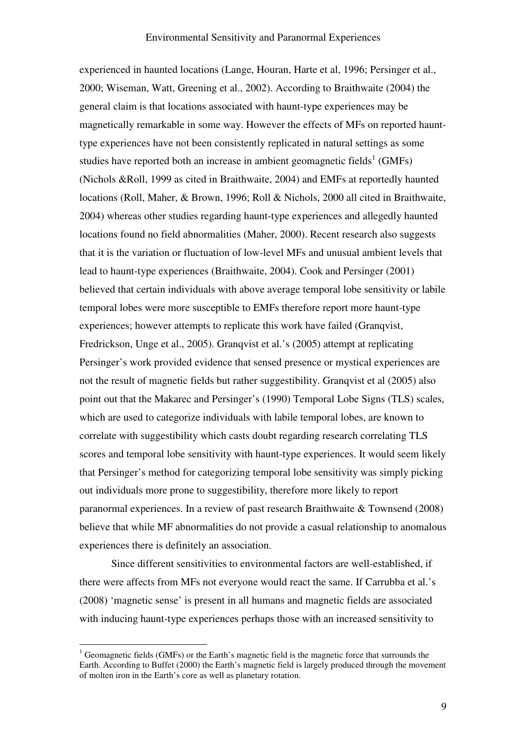experienced in haunted locations (Lange, Houran, Harte et al, 1996; Persinger et al., 2000; Wiseman, Watt, Greening et al., 2002). According to Braithwaite (2004) the general claim is that locations associated with haunt-type experiences may be magnetically remarkable in some way. However the effects of MFs on reported haunttype experiences have not been consistently replicated in natural settings as some studies have reported both an increase in ambient geomagnetic fields<sup>1</sup> (GMFs) (Nichols &Roll, 1999 as cited in Braithwaite, 2004) and EMFs at reportedly haunted locations (Roll, Maher, & Brown, 1996; Roll & Nichols, 2000 all cited in Braithwaite, 2004) whereas other studies regarding haunt-type experiences and allegedly haunted locations found no field abnormalities (Maher, 2000). Recent research also suggests that it is the variation or fluctuation of low-level MFs and unusual ambient levels that lead to haunt-type experiences (Braithwaite, 2004). Cook and Persinger (2001) believed that certain individuals with above average temporal lobe sensitivity or labile temporal lobes were more susceptible to EMFs therefore report more haunt-type experiences; however attempts to replicate this work have failed (Granqvist, Fredrickson, Unge et al., 2005). Granqvist et al.'s (2005) attempt at replicating Persinger's work provided evidence that sensed presence or mystical experiences are not the result of magnetic fields but rather suggestibility. Granqvist et al (2005) also point out that the Makarec and Persinger's (1990) Temporal Lobe Signs (TLS) scales, which are used to categorize individuals with labile temporal lobes, are known to correlate with suggestibility which casts doubt regarding research correlating TLS scores and temporal lobe sensitivity with haunt-type experiences. It would seem likely that Persinger's method for categorizing temporal lobe sensitivity was simply picking out individuals more prone to suggestibility, therefore more likely to report paranormal experiences. In a review of past research Braithwaite & Townsend (2008) believe that while MF abnormalities do not provide a casual relationship to anomalous experiences there is definitely an association.

Since different sensitivities to environmental factors are well-established, if there were affects from MFs not everyone would react the same. If Carrubba et al.'s (2008) 'magnetic sense' is present in all humans and magnetic fields are associated with inducing haunt-type experiences perhaps those with an increased sensitivity to

 $\overline{a}$ 

 $1$  Geomagnetic fields (GMFs) or the Earth's magnetic field is the magnetic force that surrounds the Earth. According to Buffet (2000) the Earth's magnetic field is largely produced through the movement of molten iron in the Earth's core as well as planetary rotation.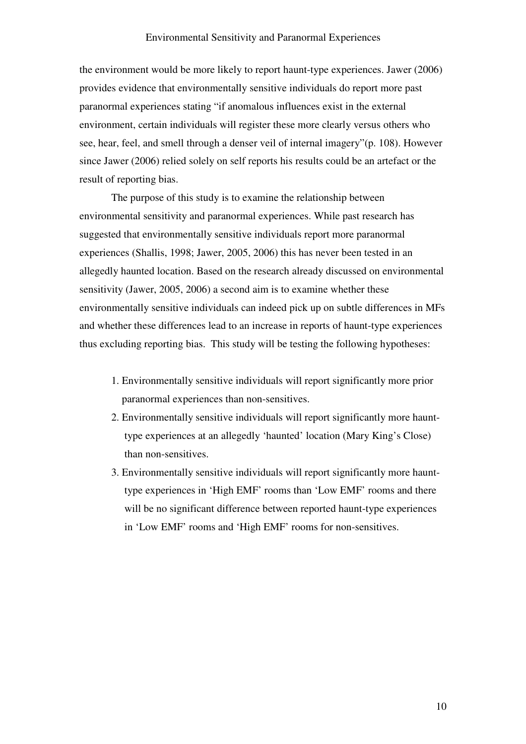the environment would be more likely to report haunt-type experiences. Jawer (2006) provides evidence that environmentally sensitive individuals do report more past paranormal experiences stating "if anomalous influences exist in the external environment, certain individuals will register these more clearly versus others who see, hear, feel, and smell through a denser veil of internal imagery"(p. 108). However since Jawer (2006) relied solely on self reports his results could be an artefact or the result of reporting bias.

The purpose of this study is to examine the relationship between environmental sensitivity and paranormal experiences. While past research has suggested that environmentally sensitive individuals report more paranormal experiences (Shallis, 1998; Jawer, 2005, 2006) this has never been tested in an allegedly haunted location. Based on the research already discussed on environmental sensitivity (Jawer, 2005, 2006) a second aim is to examine whether these environmentally sensitive individuals can indeed pick up on subtle differences in MFs and whether these differences lead to an increase in reports of haunt-type experiences thus excluding reporting bias. This study will be testing the following hypotheses:

- 1. Environmentally sensitive individuals will report significantly more prior paranormal experiences than non-sensitives.
- 2. Environmentally sensitive individuals will report significantly more haunt type experiences at an allegedly 'haunted' location (Mary King's Close) than non-sensitives.
- 3. Environmentally sensitive individuals will report significantly more haunt type experiences in 'High EMF' rooms than 'Low EMF' rooms and there will be no significant difference between reported haunt-type experiences in 'Low EMF' rooms and 'High EMF' rooms for non-sensitives.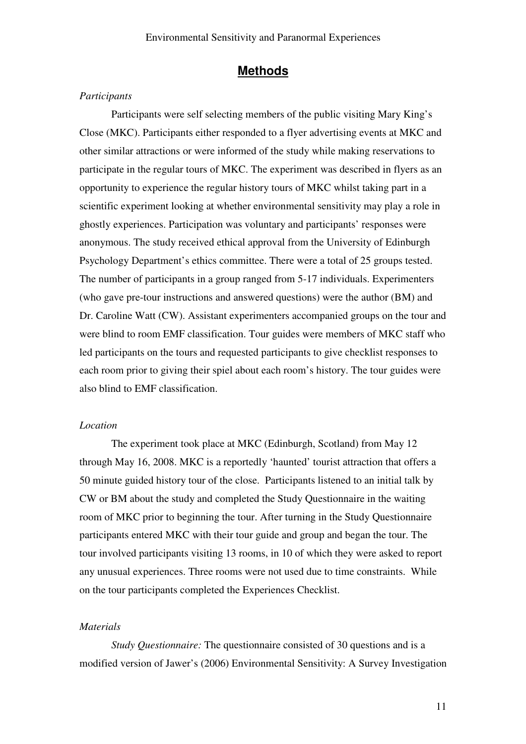### Methods

### **Participants**

Participants were self selecting members of the public visiting Mary King's Close (MKC). Participants either responded to a flyer advertising events at MKC and other similar attractions or were informed of the study while making reservations to participate in the regular tours of MKC. The experiment was described in flyers as an opportunity to experience the regular history tours of MKC whilst taking part in a scientific experiment looking at whether environmental sensitivity may play a role in ghostly experiences. Participation was voluntary and participants' responses were anonymous. The study received ethical approval from the University of Edinburgh Psychology Department's ethics committee. There were a total of 25 groups tested. The number of participants in a group ranged from 5-17 individuals. Experimenters (who gave pre-tour instructions and answered questions) were the author (BM) and Dr. Caroline Watt (CW). Assistant experimenters accompanied groups on the tour and were blind to room EMF classification. Tour guides were members of MKC staff who led participants on the tours and requested participants to give checklist responses to each room prior to giving their spiel about each room's history. The tour guides were also blind to EMF classification.

### Location

The experiment took place at MKC (Edinburgh, Scotland) from May 12 through May 16, 2008. MKC is a reportedly 'haunted' tourist attraction that offers a 50 minute guided history tour of the close. Participants listened to an initial talk by CW or BM about the study and completed the Study Questionnaire in the waiting room of MKC prior to beginning the tour. After turning in the Study Questionnaire participants entered MKC with their tour guide and group and began the tour. The tour involved participants visiting 13 rooms, in 10 of which they were asked to report any unusual experiences. Three rooms were not used due to time constraints. While on the tour participants completed the Experiences Checklist.

### Materials

Study Questionnaire: The questionnaire consisted of 30 questions and is a modified version of Jawer's (2006) Environmental Sensitivity: A Survey Investigation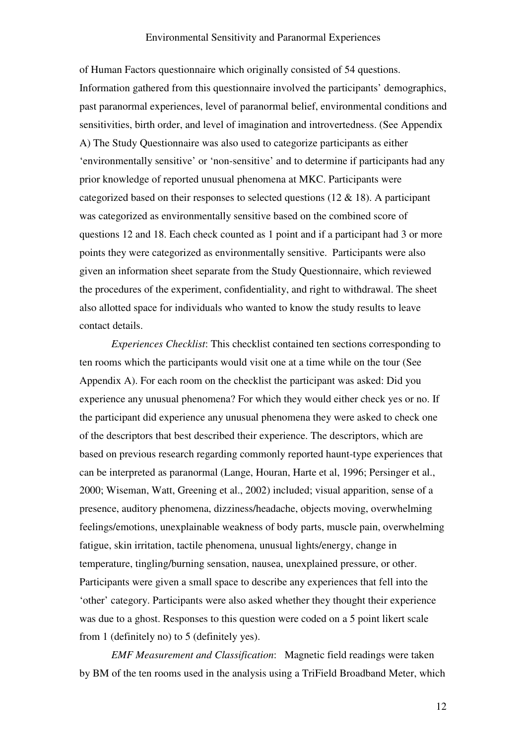of Human Factors questionnaire which originally consisted of 54 questions. Information gathered from this questionnaire involved the participants' demographics, past paranormal experiences, level of paranormal belief, environmental conditions and sensitivities, birth order, and level of imagination and introvertedness. (See Appendix A) The Study Questionnaire was also used to categorize participants as either 'environmentally sensitive' or 'non-sensitive' and to determine if participants had any prior knowledge of reported unusual phenomena at MKC. Participants were categorized based on their responses to selected questions (12 & 18). A participant was categorized as environmentally sensitive based on the combined score of questions 12 and 18. Each check counted as 1 point and if a participant had 3 or more points they were categorized as environmentally sensitive. Participants were also given an information sheet separate from the Study Questionnaire, which reviewed the procedures of the experiment, confidentiality, and right to withdrawal. The sheet also allotted space for individuals who wanted to know the study results to leave contact details.

Experiences Checklist: This checklist contained ten sections corresponding to ten rooms which the participants would visit one at a time while on the tour (See Appendix A). For each room on the checklist the participant was asked: Did you experience any unusual phenomena? For which they would either check yes or no. If the participant did experience any unusual phenomena they were asked to check one of the descriptors that best described their experience. The descriptors, which are based on previous research regarding commonly reported haunt-type experiences that can be interpreted as paranormal (Lange, Houran, Harte et al, 1996; Persinger et al., 2000; Wiseman, Watt, Greening et al., 2002) included; visual apparition, sense of a presence, auditory phenomena, dizziness/headache, objects moving, overwhelming feelings/emotions, unexplainable weakness of body parts, muscle pain, overwhelming fatigue, skin irritation, tactile phenomena, unusual lights/energy, change in temperature, tingling/burning sensation, nausea, unexplained pressure, or other. Participants were given a small space to describe any experiences that fell into the 'other' category. Participants were also asked whether they thought their experience was due to a ghost. Responses to this question were coded on a 5 point likert scale from 1 (definitely no) to 5 (definitely yes).

EMF Measurement and Classification: Magnetic field readings were taken by BM of the ten rooms used in the analysis using a TriField Broadband Meter, which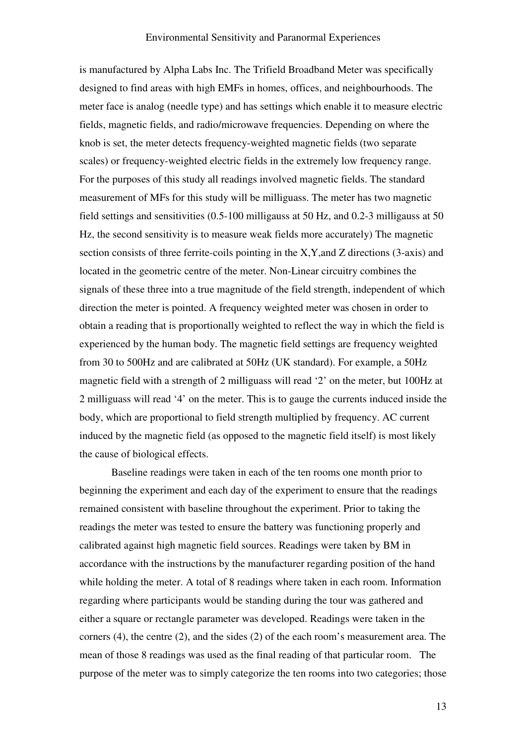is manufactured by Alpha Labs Inc. The Trifield Broadband Meter was specifically designed to find areas with high EMFs in homes, offices, and neighbourhoods. The meter face is analog (needle type) and has settings which enable it to measure electric fields, magnetic fields, and radio/microwave frequencies. Depending on where the knob is set, the meter detects frequency-weighted magnetic fields (two separate scales) or frequency-weighted electric fields in the extremely low frequency range. For the purposes of this study all readings involved magnetic fields. The standard measurement of MFs for this study will be milliguass. The meter has two magnetic field settings and sensitivities (0.5-100 milligauss at 50 Hz, and 0.2-3 milligauss at 50 Hz, the second sensitivity is to measure weak fields more accurately) The magnetic section consists of three ferrite-coils pointing in the X,Y,and Z directions (3-axis) and located in the geometric centre of the meter. Non-Linear circuitry combines the signals of these three into a true magnitude of the field strength, independent of which direction the meter is pointed. A frequency weighted meter was chosen in order to obtain a reading that is proportionally weighted to reflect the way in which the field is experienced by the human body. The magnetic field settings are frequency weighted from 30 to 500Hz and are calibrated at 50Hz (UK standard). For example, a 50Hz magnetic field with a strength of 2 milliguass will read '2' on the meter, but 100Hz at 2 milliguass will read '4' on the meter. This is to gauge the currents induced inside the body, which are proportional to field strength multiplied by frequency. AC current induced by the magnetic field (as opposed to the magnetic field itself) is most likely the cause of biological effects.

Baseline readings were taken in each of the ten rooms one month prior to beginning the experiment and each day of the experiment to ensure that the readings remained consistent with baseline throughout the experiment. Prior to taking the readings the meter was tested to ensure the battery was functioning properly and calibrated against high magnetic field sources. Readings were taken by BM in accordance with the instructions by the manufacturer regarding position of the hand while holding the meter. A total of 8 readings where taken in each room. Information regarding where participants would be standing during the tour was gathered and either a square or rectangle parameter was developed. Readings were taken in the corners (4), the centre (2), and the sides (2) of the each room's measurement area. The mean of those 8 readings was used as the final reading of that particular room. The purpose of the meter was to simply categorize the ten rooms into two categories; those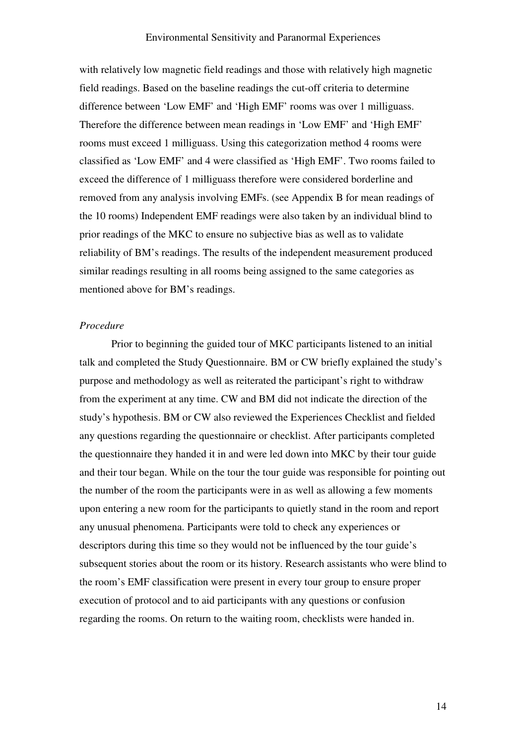with relatively low magnetic field readings and those with relatively high magnetic field readings. Based on the baseline readings the cut-off criteria to determine difference between 'Low EMF' and 'High EMF' rooms was over 1 milliguass. Therefore the difference between mean readings in 'Low EMF' and 'High EMF' rooms must exceed 1 milliguass. Using this categorization method 4 rooms were classified as 'Low EMF' and 4 were classified as 'High EMF'. Two rooms failed to exceed the difference of 1 milliguass therefore were considered borderline and removed from any analysis involving EMFs. (see Appendix B for mean readings of the 10 rooms) Independent EMF readings were also taken by an individual blind to prior readings of the MKC to ensure no subjective bias as well as to validate reliability of BM's readings. The results of the independent measurement produced similar readings resulting in all rooms being assigned to the same categories as mentioned above for BM's readings.

### Procedure

Prior to beginning the guided tour of MKC participants listened to an initial talk and completed the Study Questionnaire. BM or CW briefly explained the study's purpose and methodology as well as reiterated the participant's right to withdraw from the experiment at any time. CW and BM did not indicate the direction of the study's hypothesis. BM or CW also reviewed the Experiences Checklist and fielded any questions regarding the questionnaire or checklist. After participants completed the questionnaire they handed it in and were led down into MKC by their tour guide and their tour began. While on the tour the tour guide was responsible for pointing out the number of the room the participants were in as well as allowing a few moments upon entering a new room for the participants to quietly stand in the room and report any unusual phenomena. Participants were told to check any experiences or descriptors during this time so they would not be influenced by the tour guide's subsequent stories about the room or its history. Research assistants who were blind to the room's EMF classification were present in every tour group to ensure proper execution of protocol and to aid participants with any questions or confusion regarding the rooms. On return to the waiting room, checklists were handed in.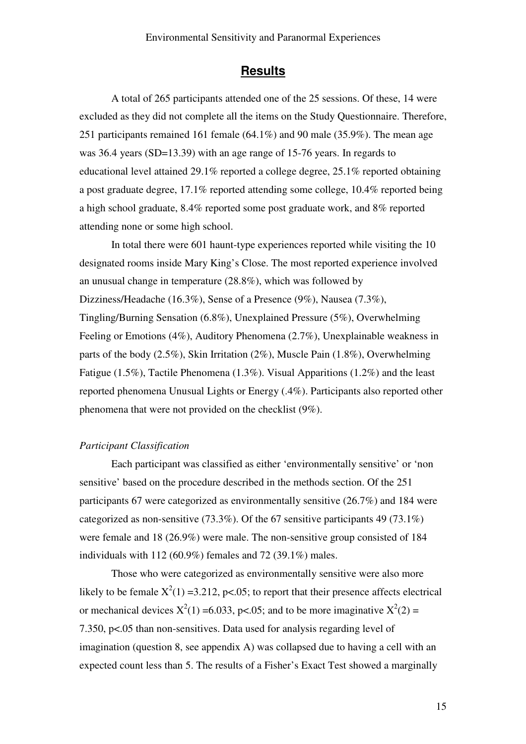### **Results**

A total of 265 participants attended one of the 25 sessions. Of these, 14 were excluded as they did not complete all the items on the Study Questionnaire. Therefore, 251 participants remained 161 female (64.1%) and 90 male (35.9%). The mean age was 36.4 years (SD=13.39) with an age range of 15-76 years. In regards to educational level attained 29.1% reported a college degree, 25.1% reported obtaining a post graduate degree, 17.1% reported attending some college, 10.4% reported being a high school graduate, 8.4% reported some post graduate work, and 8% reported attending none or some high school.

In total there were 601 haunt-type experiences reported while visiting the 10 designated rooms inside Mary King's Close. The most reported experience involved an unusual change in temperature (28.8%), which was followed by Dizziness/Headache (16.3%), Sense of a Presence (9%), Nausea (7.3%), Tingling/Burning Sensation (6.8%), Unexplained Pressure (5%), Overwhelming Feeling or Emotions (4%), Auditory Phenomena (2.7%), Unexplainable weakness in parts of the body (2.5%), Skin Irritation (2%), Muscle Pain (1.8%), Overwhelming Fatigue (1.5%), Tactile Phenomena (1.3%). Visual Apparitions (1.2%) and the least reported phenomena Unusual Lights or Energy (.4%). Participants also reported other phenomena that were not provided on the checklist (9%).

### Participant Classification

Each participant was classified as either 'environmentally sensitive' or 'non sensitive' based on the procedure described in the methods section. Of the 251 participants 67 were categorized as environmentally sensitive (26.7%) and 184 were categorized as non-sensitive (73.3%). Of the 67 sensitive participants 49 (73.1%) were female and 18 (26.9%) were male. The non-sensitive group consisted of 184 individuals with 112 (60.9%) females and 72 (39.1%) males.

Those who were categorized as environmentally sensitive were also more likely to be female  $X^2(1) = 3.212$ , p<.05; to report that their presence affects electrical or mechanical devices  $X^2(1) = 6.033$ , p<.05; and to be more imaginative  $X^2(2) =$ 7.350, p<.05 than non-sensitives. Data used for analysis regarding level of imagination (question 8, see appendix A) was collapsed due to having a cell with an expected count less than 5. The results of a Fisher's Exact Test showed a marginally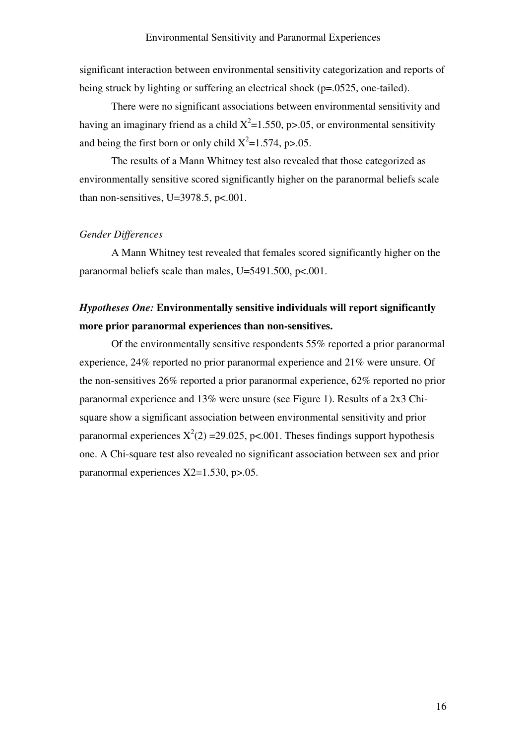significant interaction between environmental sensitivity categorization and reports of being struck by lighting or suffering an electrical shock (p=.0525, one-tailed).

There were no significant associations between environmental sensitivity and having an imaginary friend as a child  $X^2$ =1.550, p>.05, or environmental sensitivity and being the first born or only child  $X^2 = 1.574$ , p>.05.

The results of a Mann Whitney test also revealed that those categorized as environmentally sensitive scored significantly higher on the paranormal beliefs scale than non-sensitives, U=3978.5,  $p<.001$ .

### Gender Differences

A Mann Whitney test revealed that females scored significantly higher on the paranormal beliefs scale than males, U=5491.500, p<.001.

## Hypotheses One: Environmentally sensitive individuals will report significantly more prior paranormal experiences than non-sensitives.

 Of the environmentally sensitive respondents 55% reported a prior paranormal experience, 24% reported no prior paranormal experience and 21% were unsure. Of the non-sensitives 26% reported a prior paranormal experience, 62% reported no prior paranormal experience and 13% were unsure (see Figure 1). Results of a 2x3 Chisquare show a significant association between environmental sensitivity and prior paranormal experiences  $X^2(2) = 29.025$ , p<.001. Theses findings support hypothesis one. A Chi-square test also revealed no significant association between sex and prior paranormal experiences X2=1.530, p>.05.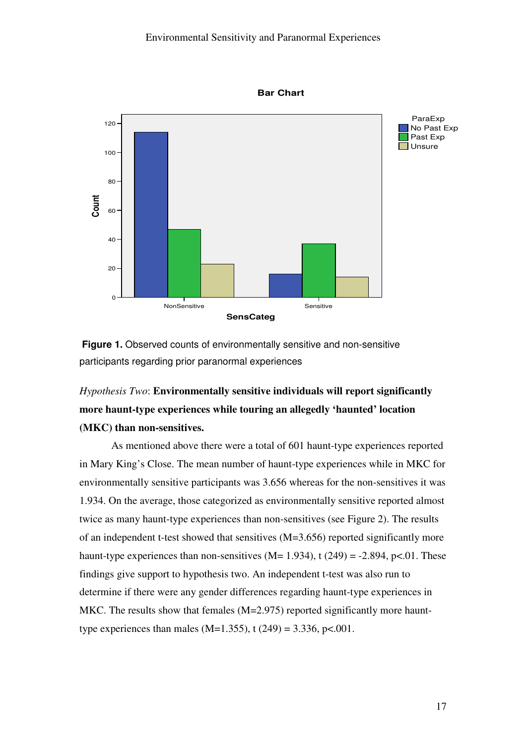

Bar Chart

Figure 1. Observed counts of environmentally sensitive and non-sensitive participants regarding prior paranormal experiences

# Hypothesis Two: Environmentally sensitive individuals will report significantly more haunt-type experiences while touring an allegedly 'haunted' location (MKC) than non-sensitives.

As mentioned above there were a total of 601 haunt-type experiences reported in Mary King's Close. The mean number of haunt-type experiences while in MKC for environmentally sensitive participants was 3.656 whereas for the non-sensitives it was 1.934. On the average, those categorized as environmentally sensitive reported almost twice as many haunt-type experiences than non-sensitives (see Figure 2). The results of an independent t-test showed that sensitives (M=3.656) reported significantly more haunt-type experiences than non-sensitives (M= 1.934), t (249) = -2.894, p<.01. These findings give support to hypothesis two. An independent t-test was also run to determine if there were any gender differences regarding haunt-type experiences in MKC. The results show that females (M=2.975) reported significantly more haunttype experiences than males (M=1.355), t (249) = 3.336, p<.001.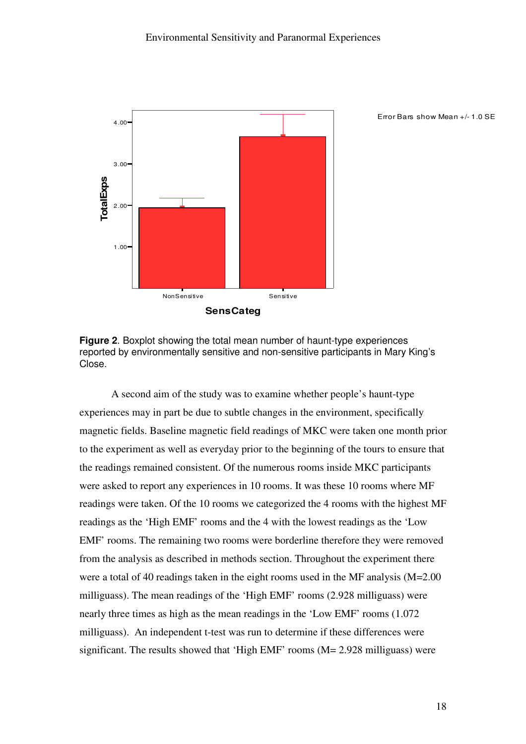

Error Bars show Mean +/- 1.0 SE

Figure 2. Boxplot showing the total mean number of haunt-type experiences reported by environmentally sensitive and non-sensitive participants in Mary King's Close.

A second aim of the study was to examine whether people's haunt-type experiences may in part be due to subtle changes in the environment, specifically magnetic fields. Baseline magnetic field readings of MKC were taken one month prior to the experiment as well as everyday prior to the beginning of the tours to ensure that the readings remained consistent. Of the numerous rooms inside MKC participants were asked to report any experiences in 10 rooms. It was these 10 rooms where MF readings were taken. Of the 10 rooms we categorized the 4 rooms with the highest MF readings as the 'High EMF' rooms and the 4 with the lowest readings as the 'Low EMF' rooms. The remaining two rooms were borderline therefore they were removed from the analysis as described in methods section. Throughout the experiment there were a total of 40 readings taken in the eight rooms used in the MF analysis (M=2.00 milliguass). The mean readings of the 'High EMF' rooms (2.928 milliguass) were nearly three times as high as the mean readings in the 'Low EMF' rooms (1.072 milliguass). An independent t-test was run to determine if these differences were significant. The results showed that 'High EMF' rooms (M= 2.928 milliguass) were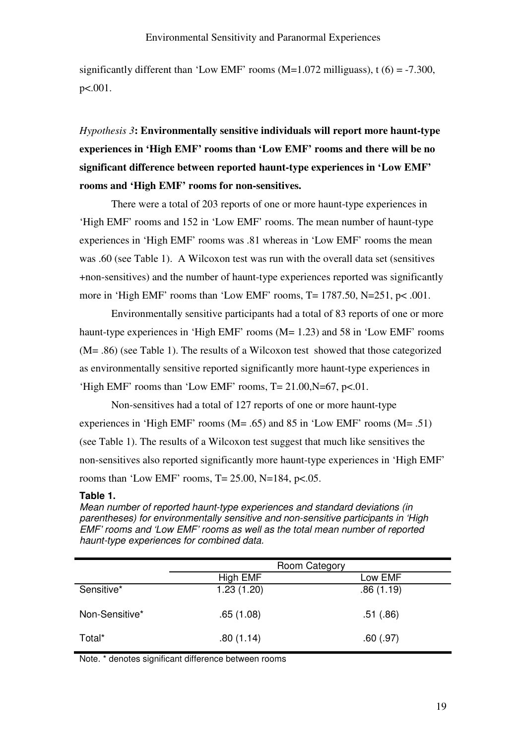significantly different than 'Low EMF' rooms ( $M=1.072$  milliguass), t (6) = -7.300, p<.001.

Hypothesis 3: Environmentally sensitive individuals will report more haunt-type experiences in 'High EMF' rooms than 'Low EMF' rooms and there will be no significant difference between reported haunt-type experiences in 'Low EMF' rooms and 'High EMF' rooms for non-sensitives.

There were a total of 203 reports of one or more haunt-type experiences in 'High EMF' rooms and 152 in 'Low EMF' rooms. The mean number of haunt-type experiences in 'High EMF' rooms was .81 whereas in 'Low EMF' rooms the mean was .60 (see Table 1). A Wilcoxon test was run with the overall data set (sensitives +non-sensitives) and the number of haunt-type experiences reported was significantly more in 'High EMF' rooms than 'Low EMF' rooms,  $T = 1787.50$ ,  $N = 251$ ,  $p < .001$ .

Environmentally sensitive participants had a total of 83 reports of one or more haunt-type experiences in 'High EMF' rooms (M= 1.23) and 58 in 'Low EMF' rooms (M= .86) (see Table 1). The results of a Wilcoxon test showed that those categorized as environmentally sensitive reported significantly more haunt-type experiences in 'High EMF' rooms than 'Low EMF' rooms,  $T = 21.00$ ,  $N = 67$ ,  $p < 01$ .

Non-sensitives had a total of 127 reports of one or more haunt-type experiences in 'High EMF' rooms ( $M = .65$ ) and 85 in 'Low EMF' rooms ( $M = .51$ ) (see Table 1). The results of a Wilcoxon test suggest that much like sensitives the non-sensitives also reported significantly more haunt-type experiences in 'High EMF' rooms than 'Low EMF' rooms,  $T = 25.00$ ,  $N = 184$ ,  $p < .05$ .

### Table 1.

Mean number of reported haunt-type experiences and standard deviations (in parentheses) for environmentally sensitive and non-sensitive participants in 'High EMF' rooms and 'Low EMF' rooms as well as the total mean number of reported haunt-type experiences for combined data.

|                | Room Category |           |  |
|----------------|---------------|-----------|--|
|                | High EMF      | Low EMF   |  |
| Sensitive*     | 1.23(1.20)    | .86(1.19) |  |
| Non-Sensitive* | .65(1.08)     | .51(.86)  |  |
| Total*         | .80(1.14)     | .60(.97)  |  |

Note. \* denotes significant difference between rooms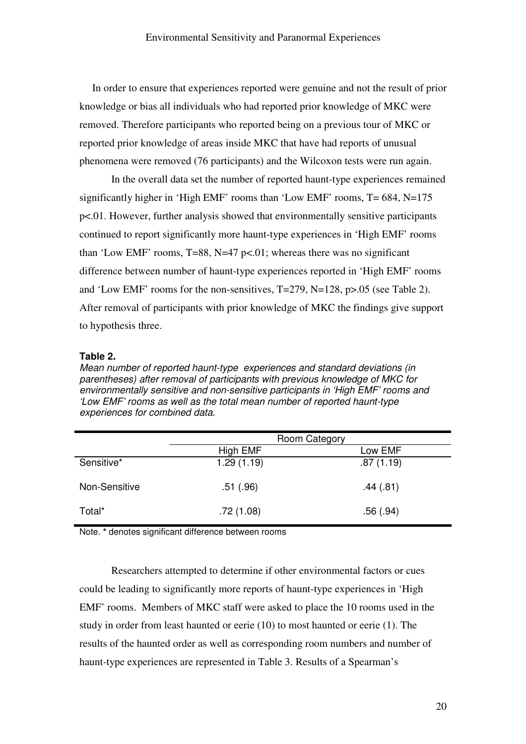In order to ensure that experiences reported were genuine and not the result of prior knowledge or bias all individuals who had reported prior knowledge of MKC were removed. Therefore participants who reported being on a previous tour of MKC or reported prior knowledge of areas inside MKC that have had reports of unusual phenomena were removed (76 participants) and the Wilcoxon tests were run again.

In the overall data set the number of reported haunt-type experiences remained significantly higher in 'High EMF' rooms than 'Low EMF' rooms, T= 684, N=175 p<.01. However, further analysis showed that environmentally sensitive participants continued to report significantly more haunt-type experiences in 'High EMF' rooms than 'Low EMF' rooms, T=88, N=47 p<.01; whereas there was no significant difference between number of haunt-type experiences reported in 'High EMF' rooms and 'Low EMF' rooms for the non-sensitives, T=279, N=128, p>.05 (see Table 2). After removal of participants with prior knowledge of MKC the findings give support to hypothesis three.

### Table 2.

Mean number of reported haunt-type experiences and standard deviations (in parentheses) after removal of participants with previous knowledge of MKC for environmentally sensitive and non-sensitive participants in 'High EMF' rooms and 'Low EMF' rooms as well as the total mean number of reported haunt-type experiences for combined data.

|               | Room Category |           |  |
|---------------|---------------|-----------|--|
|               | High EMF      | Low EMF   |  |
| Sensitive*    | 1.29(1.19)    | .87(1.19) |  |
| Non-Sensitive | .51(.96)      | .44(.81)  |  |
| Total*        | .72(1.08)     | .56(.94)  |  |

Note. \* denotes significant difference between rooms

Researchers attempted to determine if other environmental factors or cues could be leading to significantly more reports of haunt-type experiences in 'High EMF' rooms. Members of MKC staff were asked to place the 10 rooms used in the study in order from least haunted or eerie (10) to most haunted or eerie (1). The results of the haunted order as well as corresponding room numbers and number of haunt-type experiences are represented in Table 3. Results of a Spearman's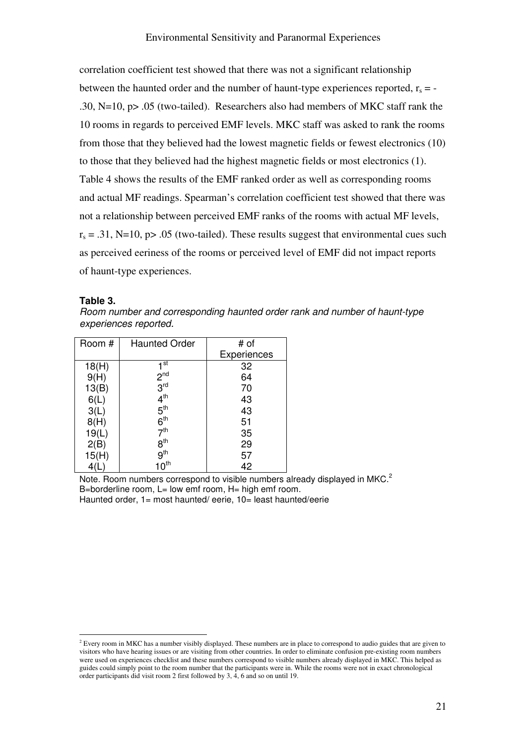correlation coefficient test showed that there was not a significant relationship between the haunted order and the number of haunt-type experiences reported,  $r_s = -$ .30, N=10, p> .05 (two-tailed). Researchers also had members of MKC staff rank the 10 rooms in regards to perceived EMF levels. MKC staff was asked to rank the rooms from those that they believed had the lowest magnetic fields or fewest electronics (10) to those that they believed had the highest magnetic fields or most electronics (1). Table 4 shows the results of the EMF ranked order as well as corresponding rooms and actual MF readings. Spearman's correlation coefficient test showed that there was not a relationship between perceived EMF ranks of the rooms with actual MF levels,  $r_s = .31$ , N=10, p> .05 (two-tailed). These results suggest that environmental cues such as perceived eeriness of the rooms or perceived level of EMF did not impact reports of haunt-type experiences.

#### Table 3.

 $\overline{a}$ 

Room number and corresponding haunted order rank and number of haunt-type experiences reported.

| Room # | <b>Haunted Order</b> | # of        |
|--------|----------------------|-------------|
|        |                      | Experiences |
| 18(H)  | 1st                  | 32          |
| 9(H)   | 2 <sup>nd</sup>      | 64          |
| 13(B)  | 3 <sup>rd</sup>      | 70          |
| 6(L)   | $4^{\text{th}}$      | 43          |
| 3(L)   | 5 <sup>th</sup>      | 43          |
| 8(H)   | 6 <sup>th</sup>      | 51          |
| 19(L)  | 7 <sup>th</sup>      | 35          |
| 2(B)   | 8 <sup>th</sup>      | 29          |
| 15(H)  | 9 <sup>th</sup>      | 57          |
|        | $10^{\text{th}}$     | 42          |

Note. Room numbers correspond to visible numbers already displayed in MKC.<sup>2</sup> B=borderline room,  $L =$  low emf room,  $H =$  high emf room. Haunted order, 1= most haunted/ eerie, 10= least haunted/eerie

<sup>&</sup>lt;sup>2</sup> Every room in MKC has a number visibly displayed. These numbers are in place to correspond to audio guides that are given to visitors who have hearing issues or are visiting from other countries. In order to eliminate confusion pre-existing room numbers were used on experiences checklist and these numbers correspond to visible numbers already displayed in MKC. This helped as guides could simply point to the room number that the participants were in. While the rooms were not in exact chronological order participants did visit room 2 first followed by 3, 4, 6 and so on until 19.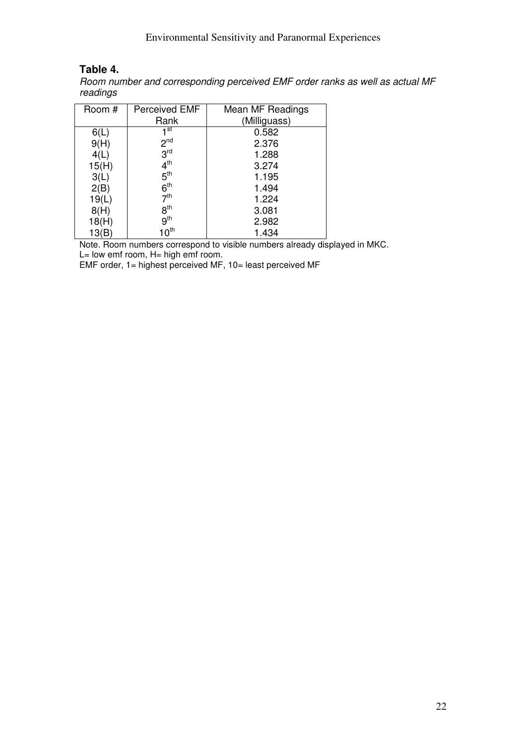### Table 4.

Room number and corresponding perceived EMF order ranks as well as actual MF readings

| Room # | Perceived EMF    | Mean MF Readings |
|--------|------------------|------------------|
|        | Rank             | (Milliguass)     |
| 6(L)   | 1 <sup>st</sup>  | 0.582            |
| 9(H)   | 2 <sup>nd</sup>  | 2.376            |
| 4(L)   | 3 <sup>rd</sup>  | 1.288            |
| 15(H)  | $4^{\text{th}}$  | 3.274            |
| 3(L)   | 5 <sup>th</sup>  | 1.195            |
| 2(B)   | 6 <sup>th</sup>  | 1.494            |
| 19(L)  | 7 <sup>th</sup>  | 1.224            |
| 8(H)   | 8 <sup>th</sup>  | 3.081            |
| 18(H)  | 9 <sup>th</sup>  | 2.982            |
| 13(B)  | 10 <sup>th</sup> | 1.434            |
|        |                  |                  |

Note. Room numbers correspond to visible numbers already displayed in MKC.  $L=$  low emf room,  $H=$  high emf room.

EMF order, 1= highest perceived MF, 10= least perceived MF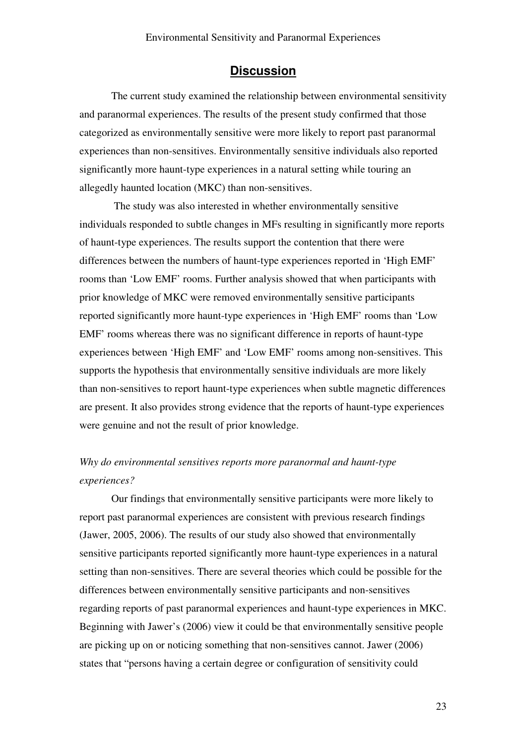### **Discussion**

The current study examined the relationship between environmental sensitivity and paranormal experiences. The results of the present study confirmed that those categorized as environmentally sensitive were more likely to report past paranormal experiences than non-sensitives. Environmentally sensitive individuals also reported significantly more haunt-type experiences in a natural setting while touring an allegedly haunted location (MKC) than non-sensitives.

 The study was also interested in whether environmentally sensitive individuals responded to subtle changes in MFs resulting in significantly more reports of haunt-type experiences. The results support the contention that there were differences between the numbers of haunt-type experiences reported in 'High EMF' rooms than 'Low EMF' rooms. Further analysis showed that when participants with prior knowledge of MKC were removed environmentally sensitive participants reported significantly more haunt-type experiences in 'High EMF' rooms than 'Low EMF' rooms whereas there was no significant difference in reports of haunt-type experiences between 'High EMF' and 'Low EMF' rooms among non-sensitives. This supports the hypothesis that environmentally sensitive individuals are more likely than non-sensitives to report haunt-type experiences when subtle magnetic differences are present. It also provides strong evidence that the reports of haunt-type experiences were genuine and not the result of prior knowledge.

## Why do environmental sensitives reports more paranormal and haunt-type experiences?

Our findings that environmentally sensitive participants were more likely to report past paranormal experiences are consistent with previous research findings (Jawer, 2005, 2006). The results of our study also showed that environmentally sensitive participants reported significantly more haunt-type experiences in a natural setting than non-sensitives. There are several theories which could be possible for the differences between environmentally sensitive participants and non-sensitives regarding reports of past paranormal experiences and haunt-type experiences in MKC. Beginning with Jawer's (2006) view it could be that environmentally sensitive people are picking up on or noticing something that non-sensitives cannot. Jawer (2006) states that "persons having a certain degree or configuration of sensitivity could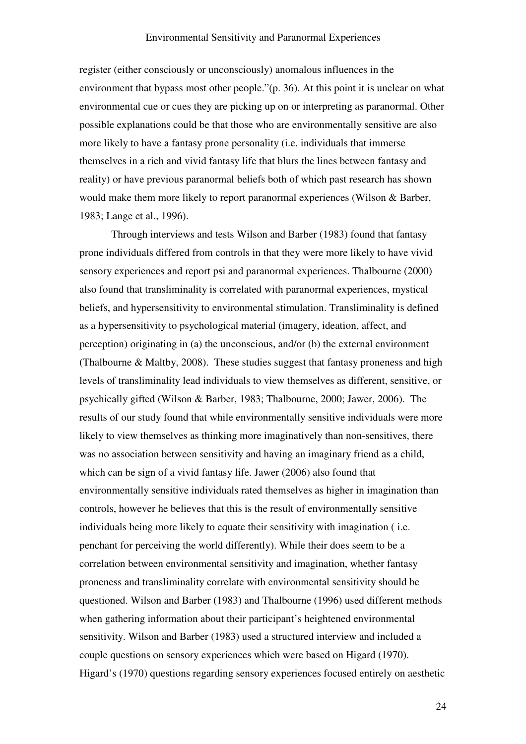register (either consciously or unconsciously) anomalous influences in the environment that bypass most other people."(p. 36). At this point it is unclear on what environmental cue or cues they are picking up on or interpreting as paranormal. Other possible explanations could be that those who are environmentally sensitive are also more likely to have a fantasy prone personality (i.e. individuals that immerse themselves in a rich and vivid fantasy life that blurs the lines between fantasy and reality) or have previous paranormal beliefs both of which past research has shown would make them more likely to report paranormal experiences (Wilson & Barber, 1983; Lange et al., 1996).

Through interviews and tests Wilson and Barber (1983) found that fantasy prone individuals differed from controls in that they were more likely to have vivid sensory experiences and report psi and paranormal experiences. Thalbourne (2000) also found that transliminality is correlated with paranormal experiences, mystical beliefs, and hypersensitivity to environmental stimulation. Transliminality is defined as a hypersensitivity to psychological material (imagery, ideation, affect, and perception) originating in (a) the unconscious, and/or (b) the external environment (Thalbourne & Maltby, 2008). These studies suggest that fantasy proneness and high levels of transliminality lead individuals to view themselves as different, sensitive, or psychically gifted (Wilson & Barber, 1983; Thalbourne, 2000; Jawer, 2006). The results of our study found that while environmentally sensitive individuals were more likely to view themselves as thinking more imaginatively than non-sensitives, there was no association between sensitivity and having an imaginary friend as a child, which can be sign of a vivid fantasy life. Jawer (2006) also found that environmentally sensitive individuals rated themselves as higher in imagination than controls, however he believes that this is the result of environmentally sensitive individuals being more likely to equate their sensitivity with imagination ( i.e. penchant for perceiving the world differently). While their does seem to be a correlation between environmental sensitivity and imagination, whether fantasy proneness and transliminality correlate with environmental sensitivity should be questioned. Wilson and Barber (1983) and Thalbourne (1996) used different methods when gathering information about their participant's heightened environmental sensitivity. Wilson and Barber (1983) used a structured interview and included a couple questions on sensory experiences which were based on Higard (1970). Higard's (1970) questions regarding sensory experiences focused entirely on aesthetic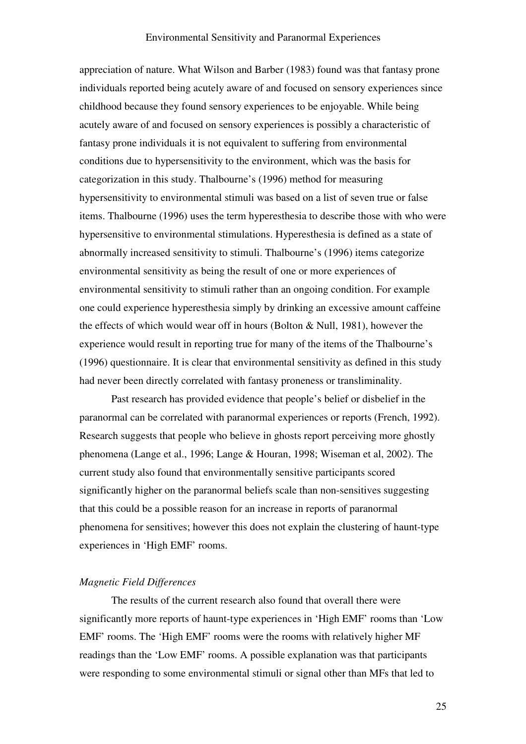appreciation of nature. What Wilson and Barber (1983) found was that fantasy prone individuals reported being acutely aware of and focused on sensory experiences since childhood because they found sensory experiences to be enjoyable. While being acutely aware of and focused on sensory experiences is possibly a characteristic of fantasy prone individuals it is not equivalent to suffering from environmental conditions due to hypersensitivity to the environment, which was the basis for categorization in this study. Thalbourne's (1996) method for measuring hypersensitivity to environmental stimuli was based on a list of seven true or false items. Thalbourne (1996) uses the term hyperesthesia to describe those with who were hypersensitive to environmental stimulations. Hyperesthesia is defined as a state of abnormally increased sensitivity to stimuli. Thalbourne's (1996) items categorize environmental sensitivity as being the result of one or more experiences of environmental sensitivity to stimuli rather than an ongoing condition. For example one could experience hyperesthesia simply by drinking an excessive amount caffeine the effects of which would wear off in hours (Bolton & Null, 1981), however the experience would result in reporting true for many of the items of the Thalbourne's (1996) questionnaire. It is clear that environmental sensitivity as defined in this study had never been directly correlated with fantasy proneness or transliminality.

Past research has provided evidence that people's belief or disbelief in the paranormal can be correlated with paranormal experiences or reports (French, 1992). Research suggests that people who believe in ghosts report perceiving more ghostly phenomena (Lange et al., 1996; Lange & Houran, 1998; Wiseman et al, 2002). The current study also found that environmentally sensitive participants scored significantly higher on the paranormal beliefs scale than non-sensitives suggesting that this could be a possible reason for an increase in reports of paranormal phenomena for sensitives; however this does not explain the clustering of haunt-type experiences in 'High EMF' rooms.

### Magnetic Field Differences

The results of the current research also found that overall there were significantly more reports of haunt-type experiences in 'High EMF' rooms than 'Low EMF' rooms. The 'High EMF' rooms were the rooms with relatively higher MF readings than the 'Low EMF' rooms. A possible explanation was that participants were responding to some environmental stimuli or signal other than MFs that led to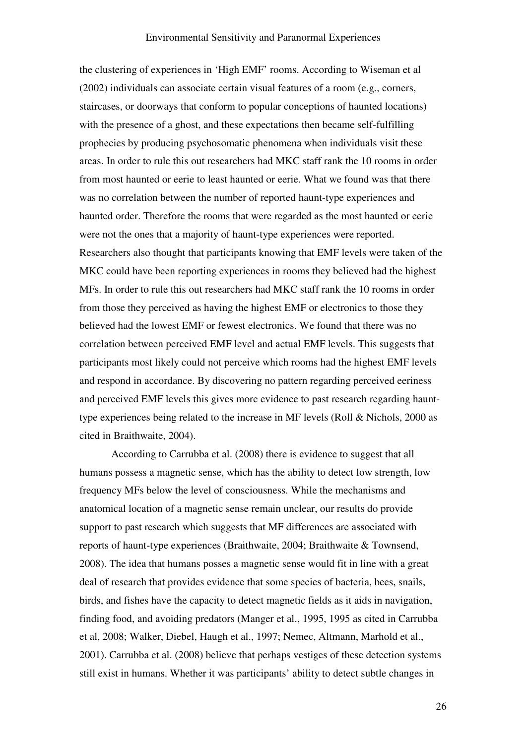the clustering of experiences in 'High EMF' rooms. According to Wiseman et al (2002) individuals can associate certain visual features of a room (e.g., corners, staircases, or doorways that conform to popular conceptions of haunted locations) with the presence of a ghost, and these expectations then became self-fulfilling prophecies by producing psychosomatic phenomena when individuals visit these areas. In order to rule this out researchers had MKC staff rank the 10 rooms in order from most haunted or eerie to least haunted or eerie. What we found was that there was no correlation between the number of reported haunt-type experiences and haunted order. Therefore the rooms that were regarded as the most haunted or eerie were not the ones that a majority of haunt-type experiences were reported. Researchers also thought that participants knowing that EMF levels were taken of the MKC could have been reporting experiences in rooms they believed had the highest MFs. In order to rule this out researchers had MKC staff rank the 10 rooms in order from those they perceived as having the highest EMF or electronics to those they believed had the lowest EMF or fewest electronics. We found that there was no correlation between perceived EMF level and actual EMF levels. This suggests that participants most likely could not perceive which rooms had the highest EMF levels and respond in accordance. By discovering no pattern regarding perceived eeriness and perceived EMF levels this gives more evidence to past research regarding haunttype experiences being related to the increase in MF levels (Roll & Nichols, 2000 as cited in Braithwaite, 2004).

According to Carrubba et al. (2008) there is evidence to suggest that all humans possess a magnetic sense, which has the ability to detect low strength, low frequency MFs below the level of consciousness. While the mechanisms and anatomical location of a magnetic sense remain unclear, our results do provide support to past research which suggests that MF differences are associated with reports of haunt-type experiences (Braithwaite, 2004; Braithwaite & Townsend, 2008). The idea that humans posses a magnetic sense would fit in line with a great deal of research that provides evidence that some species of bacteria, bees, snails, birds, and fishes have the capacity to detect magnetic fields as it aids in navigation, finding food, and avoiding predators (Manger et al., 1995, 1995 as cited in Carrubba et al, 2008; Walker, Diebel, Haugh et al., 1997; Nemec, Altmann, Marhold et al., 2001). Carrubba et al. (2008) believe that perhaps vestiges of these detection systems still exist in humans. Whether it was participants' ability to detect subtle changes in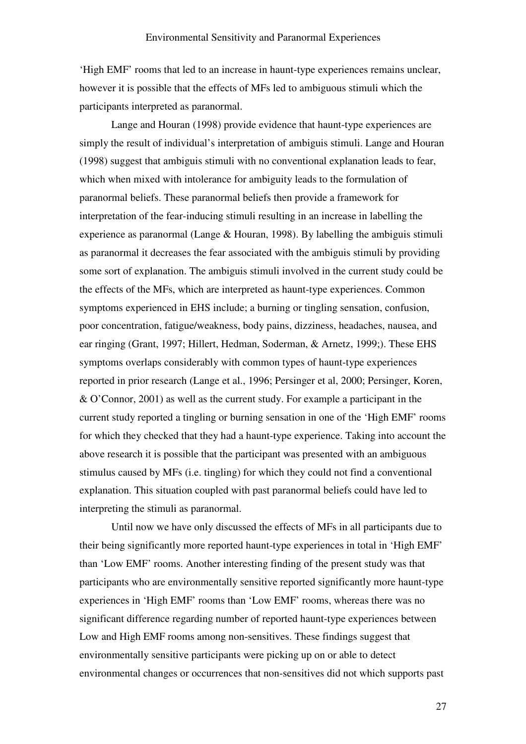'High EMF' rooms that led to an increase in haunt-type experiences remains unclear, however it is possible that the effects of MFs led to ambiguous stimuli which the participants interpreted as paranormal.

Lange and Houran (1998) provide evidence that haunt-type experiences are simply the result of individual's interpretation of ambiguis stimuli. Lange and Houran (1998) suggest that ambiguis stimuli with no conventional explanation leads to fear, which when mixed with intolerance for ambiguity leads to the formulation of paranormal beliefs. These paranormal beliefs then provide a framework for interpretation of the fear-inducing stimuli resulting in an increase in labelling the experience as paranormal (Lange & Houran, 1998). By labelling the ambiguis stimuli as paranormal it decreases the fear associated with the ambiguis stimuli by providing some sort of explanation. The ambiguis stimuli involved in the current study could be the effects of the MFs, which are interpreted as haunt-type experiences. Common symptoms experienced in EHS include; a burning or tingling sensation, confusion, poor concentration, fatigue/weakness, body pains, dizziness, headaches, nausea, and ear ringing (Grant, 1997; Hillert, Hedman, Soderman, & Arnetz, 1999;). These EHS symptoms overlaps considerably with common types of haunt-type experiences reported in prior research (Lange et al., 1996; Persinger et al, 2000; Persinger, Koren, & O'Connor, 2001) as well as the current study. For example a participant in the current study reported a tingling or burning sensation in one of the 'High EMF' rooms for which they checked that they had a haunt-type experience. Taking into account the above research it is possible that the participant was presented with an ambiguous stimulus caused by MFs (i.e. tingling) for which they could not find a conventional explanation. This situation coupled with past paranormal beliefs could have led to interpreting the stimuli as paranormal.

Until now we have only discussed the effects of MFs in all participants due to their being significantly more reported haunt-type experiences in total in 'High EMF' than 'Low EMF' rooms. Another interesting finding of the present study was that participants who are environmentally sensitive reported significantly more haunt-type experiences in 'High EMF' rooms than 'Low EMF' rooms, whereas there was no significant difference regarding number of reported haunt-type experiences between Low and High EMF rooms among non-sensitives. These findings suggest that environmentally sensitive participants were picking up on or able to detect environmental changes or occurrences that non-sensitives did not which supports past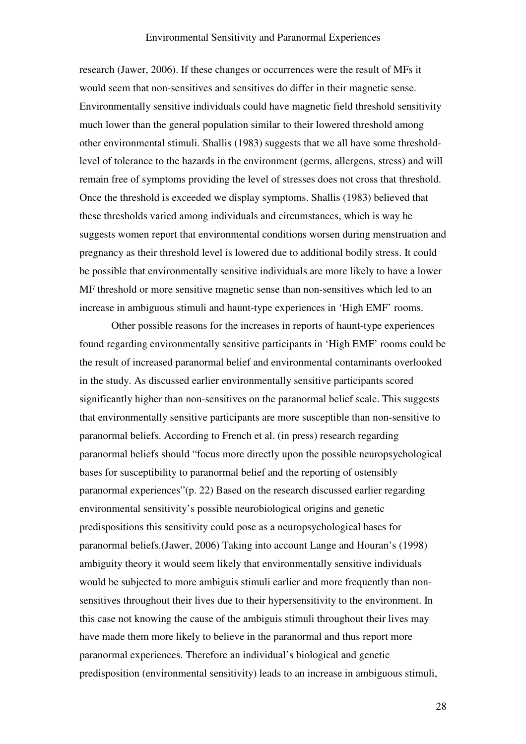research (Jawer, 2006). If these changes or occurrences were the result of MFs it would seem that non-sensitives and sensitives do differ in their magnetic sense. Environmentally sensitive individuals could have magnetic field threshold sensitivity much lower than the general population similar to their lowered threshold among other environmental stimuli. Shallis (1983) suggests that we all have some thresholdlevel of tolerance to the hazards in the environment (germs, allergens, stress) and will remain free of symptoms providing the level of stresses does not cross that threshold. Once the threshold is exceeded we display symptoms. Shallis (1983) believed that these thresholds varied among individuals and circumstances, which is way he suggests women report that environmental conditions worsen during menstruation and pregnancy as their threshold level is lowered due to additional bodily stress. It could be possible that environmentally sensitive individuals are more likely to have a lower MF threshold or more sensitive magnetic sense than non-sensitives which led to an increase in ambiguous stimuli and haunt-type experiences in 'High EMF' rooms.

Other possible reasons for the increases in reports of haunt-type experiences found regarding environmentally sensitive participants in 'High EMF' rooms could be the result of increased paranormal belief and environmental contaminants overlooked in the study. As discussed earlier environmentally sensitive participants scored significantly higher than non-sensitives on the paranormal belief scale. This suggests that environmentally sensitive participants are more susceptible than non-sensitive to paranormal beliefs. According to French et al. (in press) research regarding paranormal beliefs should "focus more directly upon the possible neuropsychological bases for susceptibility to paranormal belief and the reporting of ostensibly paranormal experiences"(p. 22) Based on the research discussed earlier regarding environmental sensitivity's possible neurobiological origins and genetic predispositions this sensitivity could pose as a neuropsychological bases for paranormal beliefs.(Jawer, 2006) Taking into account Lange and Houran's (1998) ambiguity theory it would seem likely that environmentally sensitive individuals would be subjected to more ambiguis stimuli earlier and more frequently than nonsensitives throughout their lives due to their hypersensitivity to the environment. In this case not knowing the cause of the ambiguis stimuli throughout their lives may have made them more likely to believe in the paranormal and thus report more paranormal experiences. Therefore an individual's biological and genetic predisposition (environmental sensitivity) leads to an increase in ambiguous stimuli,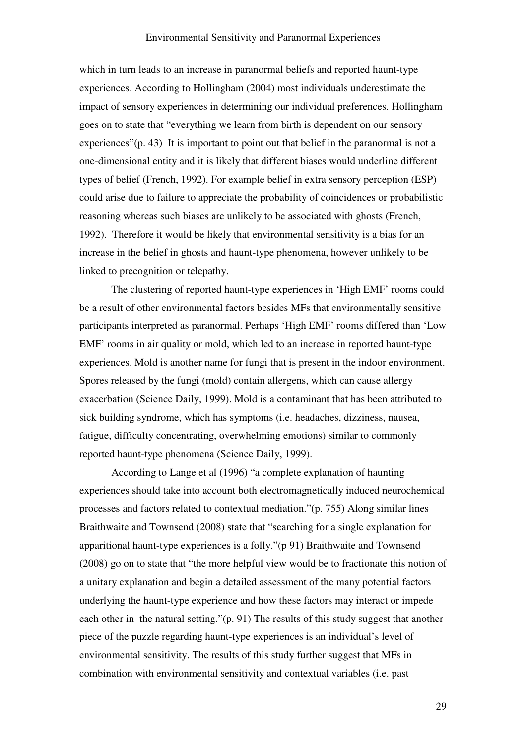which in turn leads to an increase in paranormal beliefs and reported haunt-type experiences. According to Hollingham (2004) most individuals underestimate the impact of sensory experiences in determining our individual preferences. Hollingham goes on to state that "everything we learn from birth is dependent on our sensory experiences"(p. 43) It is important to point out that belief in the paranormal is not a one-dimensional entity and it is likely that different biases would underline different types of belief (French, 1992). For example belief in extra sensory perception (ESP) could arise due to failure to appreciate the probability of coincidences or probabilistic reasoning whereas such biases are unlikely to be associated with ghosts (French, 1992). Therefore it would be likely that environmental sensitivity is a bias for an increase in the belief in ghosts and haunt-type phenomena, however unlikely to be linked to precognition or telepathy.

The clustering of reported haunt-type experiences in 'High EMF' rooms could be a result of other environmental factors besides MFs that environmentally sensitive participants interpreted as paranormal. Perhaps 'High EMF' rooms differed than 'Low EMF' rooms in air quality or mold, which led to an increase in reported haunt-type experiences. Mold is another name for fungi that is present in the indoor environment. Spores released by the fungi (mold) contain allergens, which can cause allergy exacerbation (Science Daily, 1999). Mold is a contaminant that has been attributed to sick building syndrome, which has symptoms (i.e. headaches, dizziness, nausea, fatigue, difficulty concentrating, overwhelming emotions) similar to commonly reported haunt-type phenomena (Science Daily, 1999).

According to Lange et al (1996) "a complete explanation of haunting experiences should take into account both electromagnetically induced neurochemical processes and factors related to contextual mediation."(p. 755) Along similar lines Braithwaite and Townsend (2008) state that "searching for a single explanation for apparitional haunt-type experiences is a folly."(p 91) Braithwaite and Townsend (2008) go on to state that "the more helpful view would be to fractionate this notion of a unitary explanation and begin a detailed assessment of the many potential factors underlying the haunt-type experience and how these factors may interact or impede each other in the natural setting."(p. 91) The results of this study suggest that another piece of the puzzle regarding haunt-type experiences is an individual's level of environmental sensitivity. The results of this study further suggest that MFs in combination with environmental sensitivity and contextual variables (i.e. past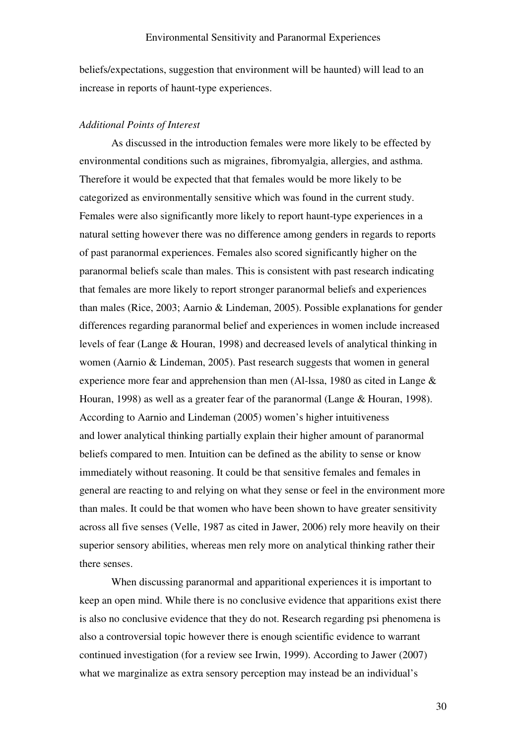beliefs/expectations, suggestion that environment will be haunted) will lead to an increase in reports of haunt-type experiences.

### Additional Points of Interest

 As discussed in the introduction females were more likely to be effected by environmental conditions such as migraines, fibromyalgia, allergies, and asthma. Therefore it would be expected that that females would be more likely to be categorized as environmentally sensitive which was found in the current study. Females were also significantly more likely to report haunt-type experiences in a natural setting however there was no difference among genders in regards to reports of past paranormal experiences. Females also scored significantly higher on the paranormal beliefs scale than males. This is consistent with past research indicating that females are more likely to report stronger paranormal beliefs and experiences than males (Rice, 2003; Aarnio & Lindeman, 2005). Possible explanations for gender differences regarding paranormal belief and experiences in women include increased levels of fear (Lange & Houran, 1998) and decreased levels of analytical thinking in women (Aarnio & Lindeman, 2005). Past research suggests that women in general experience more fear and apprehension than men (Al-lssa, 1980 as cited in Lange & Houran, 1998) as well as a greater fear of the paranormal (Lange & Houran, 1998). According to Aarnio and Lindeman (2005) women's higher intuitiveness and lower analytical thinking partially explain their higher amount of paranormal beliefs compared to men. Intuition can be defined as the ability to sense or know immediately without reasoning. It could be that sensitive females and females in general are reacting to and relying on what they sense or feel in the environment more than males. It could be that women who have been shown to have greater sensitivity across all five senses (Velle, 1987 as cited in Jawer, 2006) rely more heavily on their superior sensory abilities, whereas men rely more on analytical thinking rather their there senses.

 When discussing paranormal and apparitional experiences it is important to keep an open mind. While there is no conclusive evidence that apparitions exist there is also no conclusive evidence that they do not. Research regarding psi phenomena is also a controversial topic however there is enough scientific evidence to warrant continued investigation (for a review see Irwin, 1999). According to Jawer (2007) what we marginalize as extra sensory perception may instead be an individual's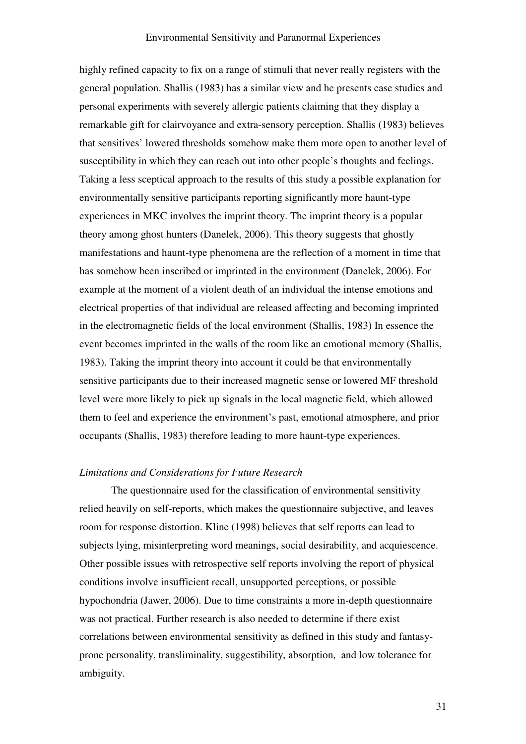highly refined capacity to fix on a range of stimuli that never really registers with the general population. Shallis (1983) has a similar view and he presents case studies and personal experiments with severely allergic patients claiming that they display a remarkable gift for clairvoyance and extra-sensory perception. Shallis (1983) believes that sensitives' lowered thresholds somehow make them more open to another level of susceptibility in which they can reach out into other people's thoughts and feelings. Taking a less sceptical approach to the results of this study a possible explanation for environmentally sensitive participants reporting significantly more haunt-type experiences in MKC involves the imprint theory. The imprint theory is a popular theory among ghost hunters (Danelek, 2006). This theory suggests that ghostly manifestations and haunt-type phenomena are the reflection of a moment in time that has somehow been inscribed or imprinted in the environment (Danelek, 2006). For example at the moment of a violent death of an individual the intense emotions and electrical properties of that individual are released affecting and becoming imprinted in the electromagnetic fields of the local environment (Shallis, 1983) In essence the event becomes imprinted in the walls of the room like an emotional memory (Shallis, 1983). Taking the imprint theory into account it could be that environmentally sensitive participants due to their increased magnetic sense or lowered MF threshold level were more likely to pick up signals in the local magnetic field, which allowed them to feel and experience the environment's past, emotional atmosphere, and prior occupants (Shallis, 1983) therefore leading to more haunt-type experiences.

### Limitations and Considerations for Future Research

 The questionnaire used for the classification of environmental sensitivity relied heavily on self-reports, which makes the questionnaire subjective, and leaves room for response distortion. Kline (1998) believes that self reports can lead to subjects lying, misinterpreting word meanings, social desirability, and acquiescence. Other possible issues with retrospective self reports involving the report of physical conditions involve insufficient recall, unsupported perceptions, or possible hypochondria (Jawer, 2006). Due to time constraints a more in-depth questionnaire was not practical. Further research is also needed to determine if there exist correlations between environmental sensitivity as defined in this study and fantasyprone personality, transliminality, suggestibility, absorption, and low tolerance for ambiguity.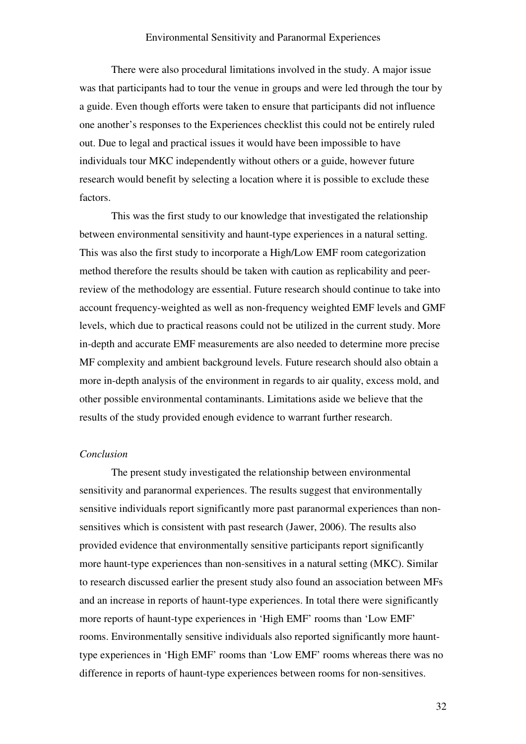There were also procedural limitations involved in the study. A major issue was that participants had to tour the venue in groups and were led through the tour by a guide. Even though efforts were taken to ensure that participants did not influence one another's responses to the Experiences checklist this could not be entirely ruled out. Due to legal and practical issues it would have been impossible to have individuals tour MKC independently without others or a guide, however future research would benefit by selecting a location where it is possible to exclude these factors.

This was the first study to our knowledge that investigated the relationship between environmental sensitivity and haunt-type experiences in a natural setting. This was also the first study to incorporate a High/Low EMF room categorization method therefore the results should be taken with caution as replicability and peerreview of the methodology are essential. Future research should continue to take into account frequency-weighted as well as non-frequency weighted EMF levels and GMF levels, which due to practical reasons could not be utilized in the current study. More in-depth and accurate EMF measurements are also needed to determine more precise MF complexity and ambient background levels. Future research should also obtain a more in-depth analysis of the environment in regards to air quality, excess mold, and other possible environmental contaminants. Limitations aside we believe that the results of the study provided enough evidence to warrant further research.

### Conclusion

The present study investigated the relationship between environmental sensitivity and paranormal experiences. The results suggest that environmentally sensitive individuals report significantly more past paranormal experiences than nonsensitives which is consistent with past research (Jawer, 2006). The results also provided evidence that environmentally sensitive participants report significantly more haunt-type experiences than non-sensitives in a natural setting (MKC). Similar to research discussed earlier the present study also found an association between MFs and an increase in reports of haunt-type experiences. In total there were significantly more reports of haunt-type experiences in 'High EMF' rooms than 'Low EMF' rooms. Environmentally sensitive individuals also reported significantly more haunttype experiences in 'High EMF' rooms than 'Low EMF' rooms whereas there was no difference in reports of haunt-type experiences between rooms for non-sensitives.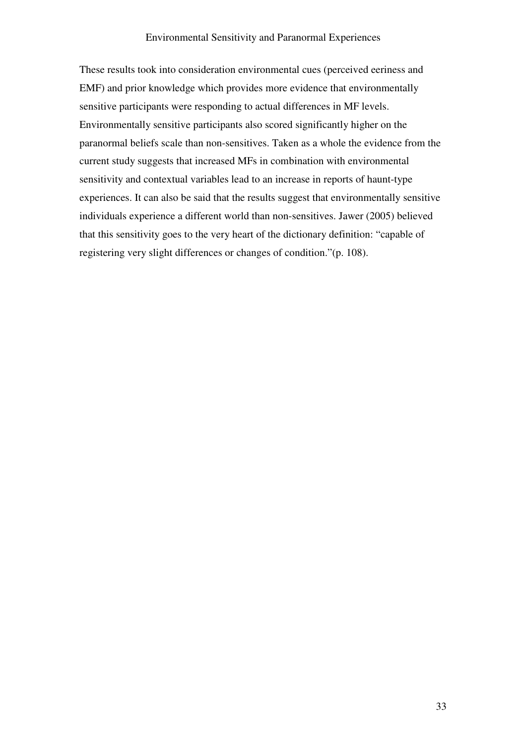These results took into consideration environmental cues (perceived eeriness and EMF) and prior knowledge which provides more evidence that environmentally sensitive participants were responding to actual differences in MF levels. Environmentally sensitive participants also scored significantly higher on the paranormal beliefs scale than non-sensitives. Taken as a whole the evidence from the current study suggests that increased MFs in combination with environmental sensitivity and contextual variables lead to an increase in reports of haunt-type experiences. It can also be said that the results suggest that environmentally sensitive individuals experience a different world than non-sensitives. Jawer (2005) believed that this sensitivity goes to the very heart of the dictionary definition: "capable of registering very slight differences or changes of condition."(p. 108).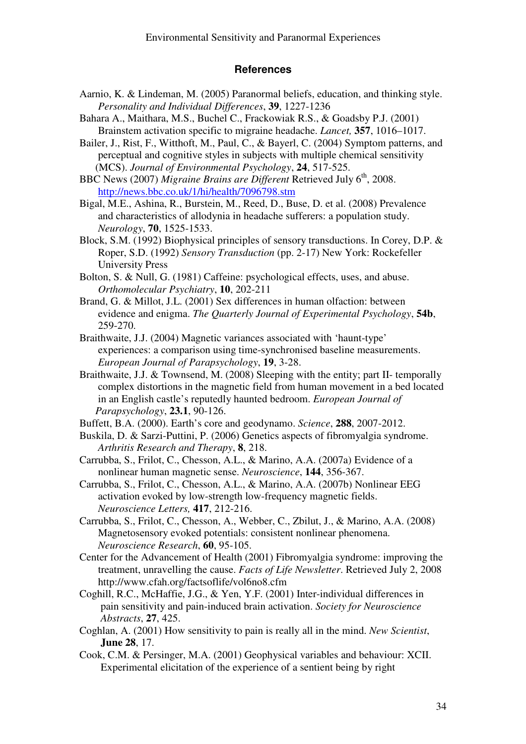### **References**

- Aarnio, K. & Lindeman, M. (2005) Paranormal beliefs, education, and thinking style. Personality and Individual Differences, 39, 1227-1236
- Bahara A., Maithara, M.S., Buchel C., Frackowiak R.S., & Goadsby P.J. (2001) Brainstem activation specific to migraine headache. Lancet, 357, 1016–1017.
- Bailer, J., Rist, F., Witthoft, M., Paul, C., & Bayerl, C. (2004) Symptom patterns, and perceptual and cognitive styles in subjects with multiple chemical sensitivity (MCS). Journal of Environmental Psychology, 24, 517-525.
- BBC News (2007) Migraine Brains are Different Retrieved July  $6<sup>th</sup>$ , 2008. http://news.bbc.co.uk/1/hi/health/7096798.stm
- Bigal, M.E., Ashina, R., Burstein, M., Reed, D., Buse, D. et al. (2008) Prevalence and characteristics of allodynia in headache sufferers: a population study. Neurology, 70, 1525-1533.
- Block, S.M. (1992) Biophysical principles of sensory transductions. In Corey, D.P. & Roper, S.D. (1992) Sensory Transduction (pp. 2-17) New York: Rockefeller University Press
- Bolton, S. & Null, G. (1981) Caffeine: psychological effects, uses, and abuse. Orthomolecular Psychiatry, 10, 202-211
- Brand, G. & Millot, J.L. (2001) Sex differences in human olfaction: between evidence and enigma. The Quarterly Journal of Experimental Psychology, 54b, 259-270.
- Braithwaite, J.J. (2004) Magnetic variances associated with 'haunt-type' experiences: a comparison using time-synchronised baseline measurements. European Journal of Parapsychology, 19, 3-28.
- Braithwaite, J.J. & Townsend, M. (2008) Sleeping with the entity; part II- temporally complex distortions in the magnetic field from human movement in a bed located in an English castle's reputedly haunted bedroom. European Journal of Parapsychology, 23.1, 90-126.
- Buffett, B.A. (2000). Earth's core and geodynamo. Science, 288, 2007-2012.
- Buskila, D. & Sarzi-Puttini, P. (2006) Genetics aspects of fibromyalgia syndrome. Arthritis Research and Therapy, 8, 218.
- Carrubba, S., Frilot, C., Chesson, A.L., & Marino, A.A. (2007a) Evidence of a nonlinear human magnetic sense. Neuroscience, 144, 356-367.
- Carrubba, S., Frilot, C., Chesson, A.L., & Marino, A.A. (2007b) Nonlinear EEG activation evoked by low-strength low-frequency magnetic fields. Neuroscience Letters, 417, 212-216.
- Carrubba, S., Frilot, C., Chesson, A., Webber, C., Zbilut, J., & Marino, A.A. (2008) Magnetosensory evoked potentials: consistent nonlinear phenomena. Neuroscience Research, 60, 95-105.
- Center for the Advancement of Health (2001) Fibromyalgia syndrome: improving the treatment, unravelling the cause. Facts of Life Newsletter. Retrieved July 2, 2008 http://www.cfah.org/factsoflife/vol6no8.cfm
- Coghill, R.C., McHaffie, J.G., & Yen, Y.F. (2001) Inter-individual differences in pain sensitivity and pain-induced brain activation. Society for Neuroscience Abstracts, 27, 425.
- Coghlan, A. (2001) How sensitivity to pain is really all in the mind. New Scientist, June 28, 17.
- Cook, C.M. & Persinger, M.A. (2001) Geophysical variables and behaviour: XCII. Experimental elicitation of the experience of a sentient being by right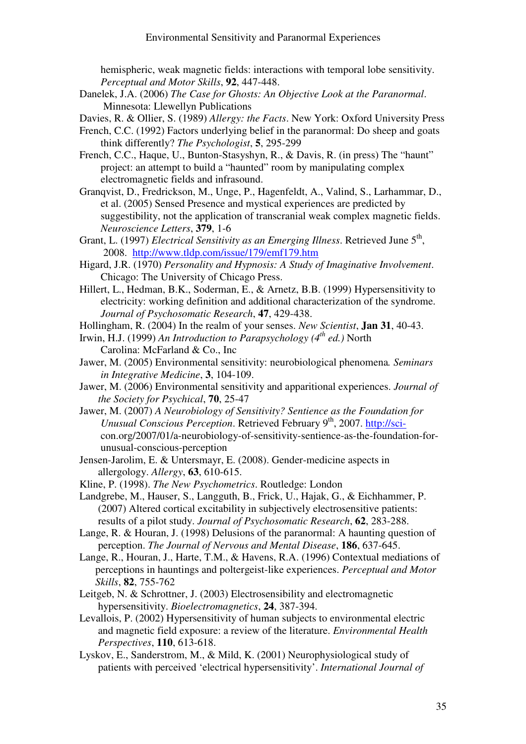hemispheric, weak magnetic fields: interactions with temporal lobe sensitivity. Perceptual and Motor Skills, 92, 447-448.

Danelek, J.A. (2006) The Case for Ghosts: An Objective Look at the Paranormal. Minnesota: Llewellyn Publications

Davies, R. & Ollier, S. (1989) Allergy: the Facts. New York: Oxford University Press

- French, C.C. (1992) Factors underlying belief in the paranormal: Do sheep and goats think differently? The Psychologist, 5, 295-299
- French, C.C., Haque, U., Bunton-Stasyshyn, R., & Davis, R. (in press) The "haunt" project: an attempt to build a "haunted" room by manipulating complex electromagnetic fields and infrasound.
- Granqvist, D., Fredrickson, M., Unge, P., Hagenfeldt, A., Valind, S., Larhammar, D., et al. (2005) Sensed Presence and mystical experiences are predicted by suggestibility, not the application of transcranial weak complex magnetic fields. Neuroscience Letters, 379, 1-6
- Grant, L. (1997) *Electrical Sensitivity as an Emerging Illness*. Retrieved June  $5<sup>th</sup>$ , 2008. http://www.tldp.com/issue/179/emf179.htm
- Higard, J.R. (1970) Personality and Hypnosis: A Study of Imaginative Involvement. Chicago: The University of Chicago Press.
- Hillert, L., Hedman, B.K., Soderman, E., & Arnetz, B.B. (1999) Hypersensitivity to electricity: working definition and additional characterization of the syndrome. Journal of Psychosomatic Research, 47, 429-438.
- Hollingham, R. (2004) In the realm of your senses. New Scientist, **Jan 31**, 40-43.
- Irwin, H.J. (1999) An Introduction to Parapsychology ( $4^{th}$  ed.) North Carolina: McFarland & Co., Inc
- Jawer, M. (2005) Environmental sensitivity: neurobiological phenomena. Seminars in Integrative Medicine, 3, 104-109.
- Jawer, M. (2006) Environmental sensitivity and apparitional experiences. Journal of the Society for Psychical, 70, 25-47
- Jawer, M. (2007) A Neurobiology of Sensitivity? Sentience as the Foundation for Unusual Conscious Perception. Retrieved February 9<sup>th</sup>, 2007. http://sci con.org/2007/01/a-neurobiology-of-sensitivity-sentience-as-the-foundation-for unusual-conscious-perception
- Jensen-Jarolim, E. & Untersmayr, E. (2008). Gender-medicine aspects in allergology. Allergy, 63, 610-615.

Kline, P. (1998). The New Psychometrics. Routledge: London

- Landgrebe, M., Hauser, S., Langguth, B., Frick, U., Hajak, G., & Eichhammer, P. (2007) Altered cortical excitability in subjectively electrosensitive patients: results of a pilot study. Journal of Psychosomatic Research, 62, 283-288.
- Lange, R. & Houran, J. (1998) Delusions of the paranormal: A haunting question of perception. The Journal of Nervous and Mental Disease, 186, 637-645.
- Lange, R., Houran, J., Harte, T.M., & Havens, R.A. (1996) Contextual mediations of perceptions in hauntings and poltergeist-like experiences. Perceptual and Motor Skills, 82, 755-762
- Leitgeb, N. & Schrottner, J. (2003) Electrosensibility and electromagnetic hypersensitivity. Bioelectromagnetics, 24, 387-394.
- Levallois, P. (2002) Hypersensitivity of human subjects to environmental electric and magnetic field exposure: a review of the literature. Environmental Health Perspectives, 110, 613-618.
- Lyskov, E., Sanderstrom, M., & Mild, K. (2001) Neurophysiological study of patients with perceived 'electrical hypersensitivity'. International Journal of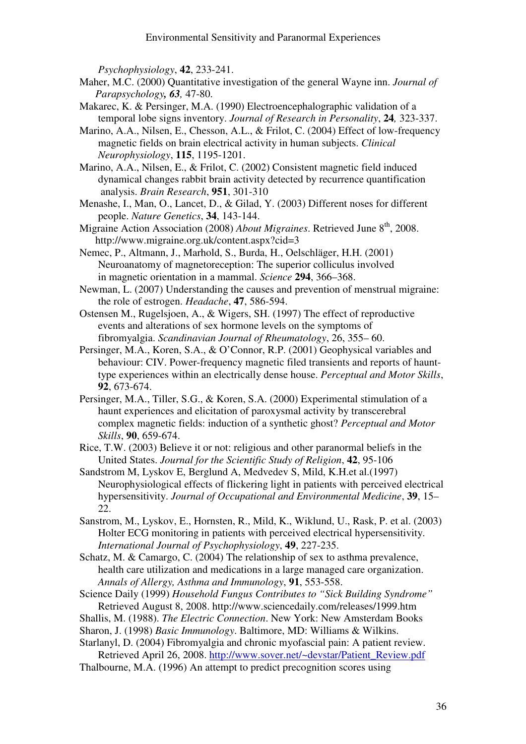Psychophysiology, 42, 233-241.

- Maher, M.C. (2000) Quantitative investigation of the general Wayne inn. Journal of Parapsychology, 63, 47-80.
- Makarec, K. & Persinger, M.A. (1990) Electroencephalographic validation of a temporal lobe signs inventory. Journal of Research in Personality, 24, 323-337.
- Marino, A.A., Nilsen, E., Chesson, A.L., & Frilot, C. (2004) Effect of low-frequency magnetic fields on brain electrical activity in human subjects. Clinical Neurophysiology, 115, 1195-1201.
- Marino, A.A., Nilsen, E., & Frilot, C. (2002) Consistent magnetic field induced dynamical changes rabbit brain activity detected by recurrence quantification analysis. Brain Research, 951, 301-310
- Menashe, I., Man, O., Lancet, D., & Gilad, Y. (2003) Different noses for different people. Nature Genetics, 34, 143-144.
- Migraine Action Association (2008) About Migraines. Retrieved June 8<sup>th</sup>. 2008. http://www.migraine.org.uk/content.aspx?cid=3
- Nemec, P., Altmann, J., Marhold, S., Burda, H., Oelschläger, H.H. (2001) Neuroanatomy of magnetoreception: The superior colliculus involved in magnetic orientation in a mammal. Science 294, 366–368.
- Newman, L. (2007) Understanding the causes and prevention of menstrual migraine: the role of estrogen. Headache, 47, 586-594.
- Ostensen M., Rugelsjoen, A., & Wigers, SH. (1997) The effect of reproductive events and alterations of sex hormone levels on the symptoms of fibromyalgia. Scandinavian Journal of Rheumatology, 26, 355– 60.
- Persinger, M.A., Koren, S.A., & O'Connor, R.P. (2001) Geophysical variables and behaviour: CIV. Power-frequency magnetic filed transients and reports of haunt type experiences within an electrically dense house. Perceptual and Motor Skills, 92, 673-674.
- Persinger, M.A., Tiller, S.G., & Koren, S.A. (2000) Experimental stimulation of a haunt experiences and elicitation of paroxysmal activity by transcerebral complex magnetic fields: induction of a synthetic ghost? Perceptual and Motor Skills, 90, 659-674.
- Rice, T.W. (2003) Believe it or not: religious and other paranormal beliefs in the United States. Journal for the Scientific Study of Religion, 42, 95-106
- Sandstrom M, Lyskov E, Berglund A, Medvedev S, Mild, K.H.et al.(1997) Neurophysiological effects of flickering light in patients with perceived electrical hypersensitivity. Journal of Occupational and Environmental Medicine, 39, 15– 22.
- Sanstrom, M., Lyskov, E., Hornsten, R., Mild, K., Wiklund, U., Rask, P. et al. (2003) Holter ECG monitoring in patients with perceived electrical hypersensitivity. International Journal of Psychophysiology, 49, 227-235.
- Schatz, M. & Camargo, C. (2004) The relationship of sex to asthma prevalence, health care utilization and medications in a large managed care organization. Annals of Allergy, Asthma and Immunology, 91, 553-558.
- Science Daily (1999) Household Fungus Contributes to "Sick Building Syndrome" Retrieved August 8, 2008. http://www.sciencedaily.com/releases/1999.htm
- Shallis, M. (1988). The Electric Connection. New York: New Amsterdam Books
- Sharon, J. (1998) Basic Immunology. Baltimore, MD: Williams & Wilkins.
- Starlanyl, D. (2004) Fibromyalgia and chronic myofascial pain: A patient review. Retrieved April 26, 2008. http://www.sover.net/~devstar/Patient\_Review.pdf
- Thalbourne, M.A. (1996) An attempt to predict precognition scores using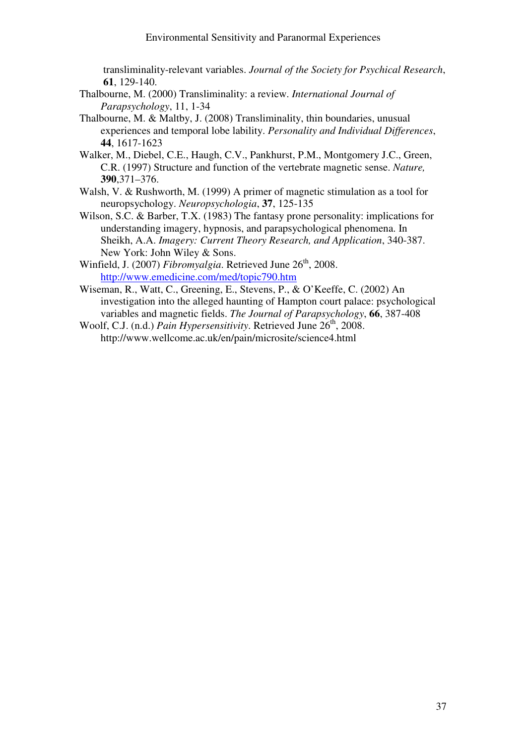transliminality-relevant variables. Journal of the Society for Psychical Research, 61, 129-140.

- Thalbourne, M. (2000) Transliminality: a review. International Journal of Parapsychology, 11, 1-34
- Thalbourne, M. & Maltby, J. (2008) Transliminality, thin boundaries, unusual experiences and temporal lobe lability. Personality and Individual Differences, 44, 1617-1623
- Walker, M., Diebel, C.E., Haugh, C.V., Pankhurst, P.M., Montgomery J.C., Green, C.R. (1997) Structure and function of the vertebrate magnetic sense. Nature, 390,371–376.
- Walsh, V. & Rushworth, M. (1999) A primer of magnetic stimulation as a tool for neuropsychology. Neuropsychologia, 37, 125-135
- Wilson, S.C. & Barber, T.X. (1983) The fantasy prone personality: implications for understanding imagery, hypnosis, and parapsychological phenomena. In Sheikh, A.A. Imagery: Current Theory Research, and Application, 340-387. New York: John Wiley & Sons.
- Winfield, J. (2007) Fibromyalgia. Retrieved June  $26<sup>th</sup>$ , 2008. http://www.emedicine.com/med/topic790.htm
- Wiseman, R., Watt, C., Greening, E., Stevens, P., & O'Keeffe, C. (2002) An investigation into the alleged haunting of Hampton court palace: psychological variables and magnetic fields. The Journal of Parapsychology, 66, 387-408
- Woolf, C.J. (n.d.) Pain Hypersensitivity. Retrieved June 26<sup>th</sup>, 2008. http://www.wellcome.ac.uk/en/pain/microsite/science4.html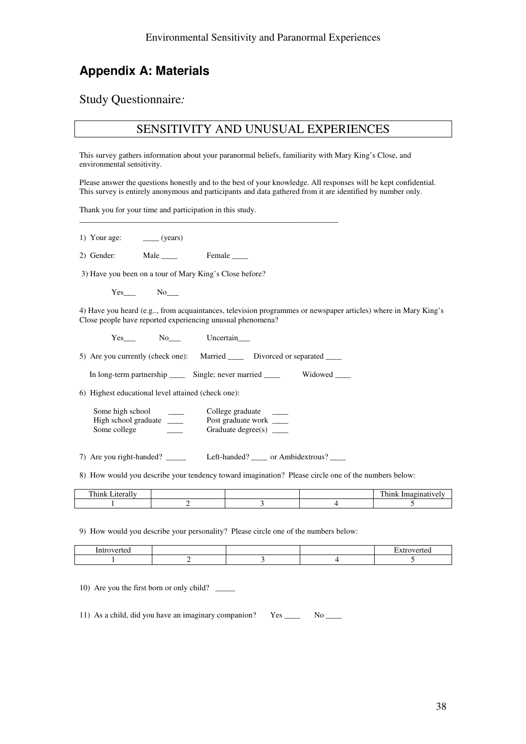# Appendix A: Materials

Study Questionnaire:

### SENSITIVITY AND UNUSUAL EXPERIENCES

This survey gathers information about your paranormal beliefs, familiarity with Mary King's Close, and environmental sensitivity.

Please answer the questions honestly and to the best of your knowledge. All responses will be kept confidential. This survey is entirely anonymous and participants and data gathered from it are identified by number only.

Thank you for your time and participation in this study.

1) Your age: \_\_\_\_\_\_ (years)

2) Gender: Male Female

3) Have you been on a tour of Mary King's Close before?

Yes\_\_\_ No\_\_\_

4) Have you heard (e.g.., from acquaintances, television programmes or newspaper articles) where in Mary King's Close people have reported experiencing unusual phenomena?

Yes\_\_\_ No\_\_\_ Uncertain\_\_\_

5) Are you currently (check one): Married \_\_\_\_ Divorced or separated \_\_\_\_

\_\_\_\_\_\_\_\_\_\_\_\_\_\_\_\_\_\_\_\_\_\_\_\_\_\_\_\_\_\_\_\_\_\_\_\_\_\_\_\_\_\_\_\_\_\_\_\_\_\_\_\_\_\_\_\_\_\_\_\_\_\_\_\_\_

In long-term partnership \_\_\_\_\_ Single; never married \_\_\_\_\_ Widowed \_\_\_\_

6) Highest educational level attained (check one):

| Some high school     | College graduate   |  |
|----------------------|--------------------|--|
| High school graduate | Post graduate work |  |
| Some college         | Graduate degree(s) |  |

7) Are you right-handed? \_\_\_\_\_ Left-handed? \_\_\_\_ or Ambidextrous? \_\_\_

8) How would you describe your tendency toward imagination? Please circle one of the numbers below:

9) How would you describe your personality? Please circle one of the numbers below:

| . |  |  |
|---|--|--|
|   |  |  |

10) Are you the first born or only child? \_\_\_\_\_

11) As a child, did you have an imaginary companion? Yes No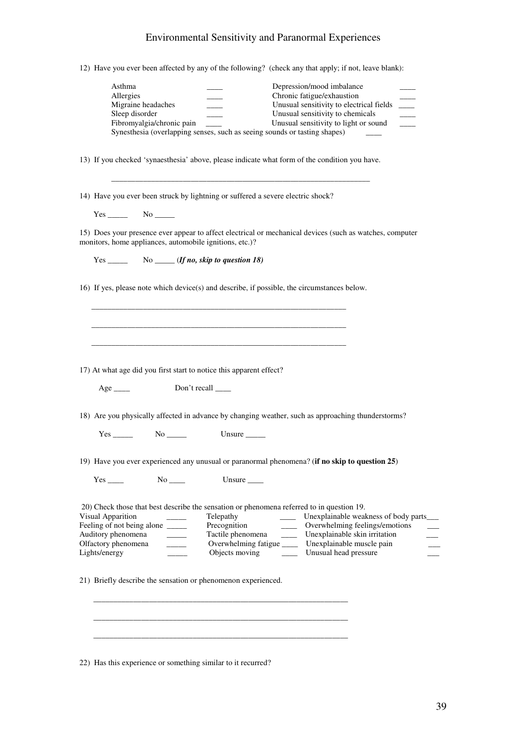12) Have you ever been affected by any of the following? (check any that apply; if not, leave blank):

| Asthma                                                                                                                                                              |                           |                                                                           |                          | Depression/mood imbalance                             |                |
|---------------------------------------------------------------------------------------------------------------------------------------------------------------------|---------------------------|---------------------------------------------------------------------------|--------------------------|-------------------------------------------------------|----------------|
| Allergies                                                                                                                                                           |                           |                                                                           |                          | Chronic fatigue/exhaustion                            |                |
| Migraine headaches                                                                                                                                                  |                           |                                                                           |                          | Unusual sensitivity to electrical fields              | $\sim 10^{-1}$ |
| Sleep disorder                                                                                                                                                      |                           |                                                                           |                          | Unusual sensitivity to chemicals                      |                |
|                                                                                                                                                                     |                           | $\overline{a}$                                                            |                          |                                                       | Ξ              |
|                                                                                                                                                                     | Fibromyalgia/chronic pain |                                                                           |                          | Unusual sensitivity to light or sound                 |                |
|                                                                                                                                                                     |                           | Synesthesia (overlapping senses, such as seeing sounds or tasting shapes) |                          |                                                       |                |
|                                                                                                                                                                     |                           |                                                                           |                          |                                                       |                |
| 13) If you checked 'synaesthesia' above, please indicate what form of the condition you have.                                                                       |                           |                                                                           |                          |                                                       |                |
| 14) Have you ever been struck by lightning or suffered a severe electric shock?                                                                                     |                           |                                                                           |                          |                                                       |                |
| $Yes$ No $\_\_\_\_\$                                                                                                                                                |                           |                                                                           |                          |                                                       |                |
| 15) Does your presence ever appear to affect electrical or mechanical devices (such as watches, computer<br>monitors, home appliances, automobile ignitions, etc.)? |                           |                                                                           |                          |                                                       |                |
|                                                                                                                                                                     |                           | Yes __________________ No ________ ( <i>If no, skip to question 18</i> )  |                          |                                                       |                |
|                                                                                                                                                                     |                           |                                                                           |                          |                                                       |                |
| 16) If yes, please note which device(s) and describe, if possible, the circumstances below.                                                                         |                           |                                                                           |                          |                                                       |                |
|                                                                                                                                                                     |                           |                                                                           |                          |                                                       |                |
|                                                                                                                                                                     |                           |                                                                           |                          |                                                       |                |
|                                                                                                                                                                     |                           |                                                                           |                          |                                                       |                |
|                                                                                                                                                                     |                           |                                                                           |                          |                                                       |                |
|                                                                                                                                                                     |                           |                                                                           |                          |                                                       |                |
| 17) At what age did you first start to notice this apparent effect?                                                                                                 |                           |                                                                           |                          |                                                       |                |
|                                                                                                                                                                     |                           |                                                                           |                          |                                                       |                |
| $Age$ <sub>_____</sub>                                                                                                                                              |                           | Don't recall ______                                                       |                          |                                                       |                |
| 18) Are you physically affected in advance by changing weather, such as approaching thunderstorms?                                                                  |                           |                                                                           |                          |                                                       |                |
|                                                                                                                                                                     |                           | $Yes \_\_\_\_\$ No $\_\_\_\_\$ Unsure $\_\_\_\_\_\$                       |                          |                                                       |                |
|                                                                                                                                                                     |                           |                                                                           |                          |                                                       |                |
|                                                                                                                                                                     |                           |                                                                           |                          |                                                       |                |
| 19) Have you ever experienced any unusual or paranormal phenomena? (if no skip to question 25)                                                                      |                           |                                                                           |                          |                                                       |                |
| Yes                                                                                                                                                                 | $No$ <sub>____</sub>      | Unsure $\_\_$                                                             |                          |                                                       |                |
|                                                                                                                                                                     |                           |                                                                           |                          |                                                       |                |
|                                                                                                                                                                     |                           |                                                                           |                          |                                                       |                |
| 20) Check those that best describe the sensation or phenomena referred to in question 19.                                                                           |                           |                                                                           |                          |                                                       |                |
| Visual Apparition                                                                                                                                                   |                           | Telepathy                                                                 | $\frac{1}{2}$            | Unexplainable weakness of body parts_                 |                |
| Feeling of not being alone _____                                                                                                                                    |                           | Precognition                                                              |                          | Overwhelming feelings/emotions                        |                |
| Auditory phenomena                                                                                                                                                  | $\sim$ 100 $\mu$          | Tactile phenomena                                                         | $\overline{\phantom{a}}$ | Unexplainable skin irritation                         |                |
| Olfactory phenomena                                                                                                                                                 |                           |                                                                           |                          | Overwhelming fatigue ______ Unexplainable muscle pain |                |
| Lights/energy                                                                                                                                                       |                           | Objects moving                                                            | $\sim 10^{11}$ m $^{-1}$ | Unusual head pressure                                 |                |
|                                                                                                                                                                     |                           |                                                                           |                          |                                                       |                |
|                                                                                                                                                                     |                           |                                                                           |                          |                                                       |                |
| 21) Briefly describe the sensation or phenomenon experienced.                                                                                                       |                           |                                                                           |                          |                                                       |                |
|                                                                                                                                                                     |                           |                                                                           |                          |                                                       |                |
|                                                                                                                                                                     |                           |                                                                           |                          |                                                       |                |
|                                                                                                                                                                     |                           |                                                                           |                          |                                                       |                |
|                                                                                                                                                                     |                           |                                                                           |                          |                                                       |                |
|                                                                                                                                                                     |                           |                                                                           |                          |                                                       |                |
|                                                                                                                                                                     |                           |                                                                           |                          |                                                       |                |
|                                                                                                                                                                     |                           |                                                                           |                          |                                                       |                |

22) Has this experience or something similar to it recurred?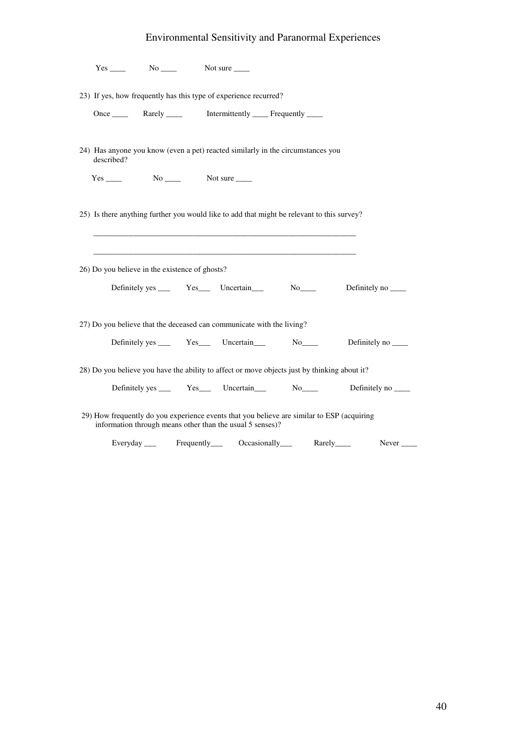|            | $Yes$ No $No$ Not sure $\_\_$                   |                                                                                                                                                         |  |                                                                                   |
|------------|-------------------------------------------------|---------------------------------------------------------------------------------------------------------------------------------------------------------|--|-----------------------------------------------------------------------------------|
|            |                                                 | 23) If yes, how frequently has this type of experience recurred?                                                                                        |  |                                                                                   |
|            |                                                 |                                                                                                                                                         |  |                                                                                   |
| described? |                                                 | 24) Has anyone you know (even a pet) reacted similarly in the circumstances you                                                                         |  |                                                                                   |
|            | $Yes \_\_\_\$ No $\_\_\_\$ Not sure $\_\_\_\_\$ |                                                                                                                                                         |  |                                                                                   |
|            |                                                 | 25) Is there anything further you would like to add that might be relevant to this survey?                                                              |  |                                                                                   |
|            | 26) Do you believe in the existence of ghosts?  |                                                                                                                                                         |  |                                                                                   |
|            |                                                 |                                                                                                                                                         |  | Definitely yes ______ Yes ______ Uncertain _______ No________ Definitely no _____ |
|            |                                                 | 27) Do you believe that the deceased can communicate with the living?                                                                                   |  | Definitely yes ______ Yes______ Uncertain_________ No_________ Definitely no ____ |
|            |                                                 | 28) Do you believe you have the ability to affect or move objects just by thinking about it?                                                            |  |                                                                                   |
|            |                                                 |                                                                                                                                                         |  | Definitely yes ______ Yes ______ Uncertain ______ No_______ Definitely no ______  |
|            |                                                 | 29) How frequently do you experience events that you believe are similar to ESP (acquiring<br>information through means other than the usual 5 senses)? |  |                                                                                   |
|            |                                                 | Everyday ____ Frequently____ Occasionally____ Rarely____                                                                                                |  | Never $\_\_$                                                                      |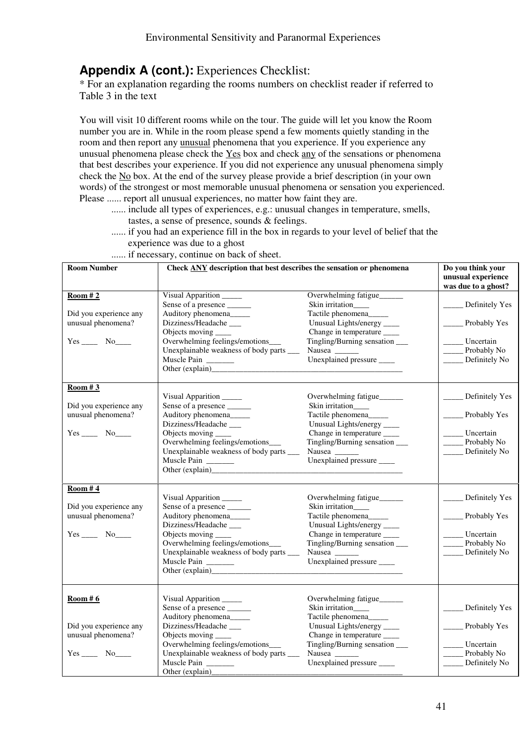## Appendix A (cont.): Experiences Checklist:

\* For an explanation regarding the rooms numbers on checklist reader if referred to Table 3 in the text

You will visit 10 different rooms while on the tour. The guide will let you know the Room number you are in. While in the room please spend a few moments quietly standing in the room and then report any unusual phenomena that you experience. If you experience any unusual phenomena please check the Yes box and check any of the sensations or phenomena that best describes your experience. If you did not experience any unusual phenomena simply check the No box. At the end of the survey please provide a brief description (in your own words) of the strongest or most memorable unusual phenomena or sensation you experienced. Please ...... report all unusual experiences, no matter how faint they are.

- ...... include all types of experiences, e.g.: unusual changes in temperature, smells, tastes, a sense of presence, sounds & feelings.
- ...... if you had an experience fill in the box in regards to your level of belief that the experience was due to a ghost
- ...... if necessary, continue on back of sheet.

| Room Number                                                                 | Check <b>ANY</b> description that best describes the sensation or phenomena                                                                                                                                                                                          | Do you think your<br>unusual experience<br>was due to a ghost?                                                                                                                                                           |                                                                                            |
|-----------------------------------------------------------------------------|----------------------------------------------------------------------------------------------------------------------------------------------------------------------------------------------------------------------------------------------------------------------|--------------------------------------------------------------------------------------------------------------------------------------------------------------------------------------------------------------------------|--------------------------------------------------------------------------------------------|
| Room #2<br>Did you experience any<br>unusual phenomena?<br>$Yes$ No $No$    | Visual Apparition<br>Sense of a presence _______<br>Auditory phenomena_____<br>Dizziness/Headache_<br>Objects moving ______<br>Overwhelming feelings/emotions___<br>Unexplainable weakness of body parts ____<br>Muscle Pain<br>Other (explain)<br><u>University</u> | Overwhelming fatigue<br>Skin irritation____<br>Tactile phenomena_____<br>Unusual Lights/energy ____<br>Change in temperature ____<br>Tingling/Burning sensation __<br>Nausea ______<br>Unexplained pressure _____        | $\Box$ Definitely Yes<br>_______ Probably Yes<br>Uncertain<br>Probably No<br>Definitely No |
| Room # 3<br>Did you experience any<br>unusual phenomena?<br>$Yes$ No_______ | Visual Apparition<br>Sense of a presence _______<br>Auditory phenomena_____<br>Dizziness/Headache_<br>Objects moving ______<br>Overwhelming feelings/emotions___<br>Unexplainable weakness of body parts ____<br>Muscle Pain                                         | Overwhelming fatigue______<br>Skin irritation___<br>Tactile phenomena_____<br>Unusual Lights/energy ____<br>Change in temperature ____<br>Tingling/Burning sensation ____<br>Nausea ______<br>Unexplained pressure _____ | _ Definitely Yes<br>_ Probably Yes<br>Uncertain<br>Probably No<br>Definitely No            |
| Room # $4$<br>Did you experience any<br>unusual phenomena?                  | Visual Apparition<br>Sense of a presence _______<br>Auditory phenomena_____<br>Dizziness/Headache___<br>Objects moving ______<br>Overwhelming feelings/emotions___<br>Unexplainable weakness of body parts ____<br>Muscle Pain                                       | Overwhelming fatigue<br>Skin irritation___<br>Tactile phenomena_____<br>Unusual Lights/energy ____<br>Change in temperature ____<br>Tingling/Burning sensation ____<br>Nausea ______<br>Unexplained pressure _____       | ____ Definitely Yes<br>_Probably Yes<br>Uncertain<br>Probably No<br>Definitely No          |
| Room#6<br>Did you experience any<br>unusual phenomena?<br>$Yes$ No $No$     | Visual Apparition<br>Sense of a presence ______<br>Auditory phenomena_____<br>Dizziness/Headache___<br>Objects moving _<br>Overwhelming feelings/emotions___<br>Unexplainable weakness of body parts _____<br>Muscle Pain<br>Other (explain)                         | Overwhelming fatigue<br>Skin irritation____<br>Tactile phenomena_____<br>Unusual Lights/energy ____<br>Change in temperature ____<br>Tingling/Burning sensation<br>Unexplained pressure _____                            | Definitely Yes<br>Probably Yes<br>Uncertain<br>Probably No<br>Definitely No                |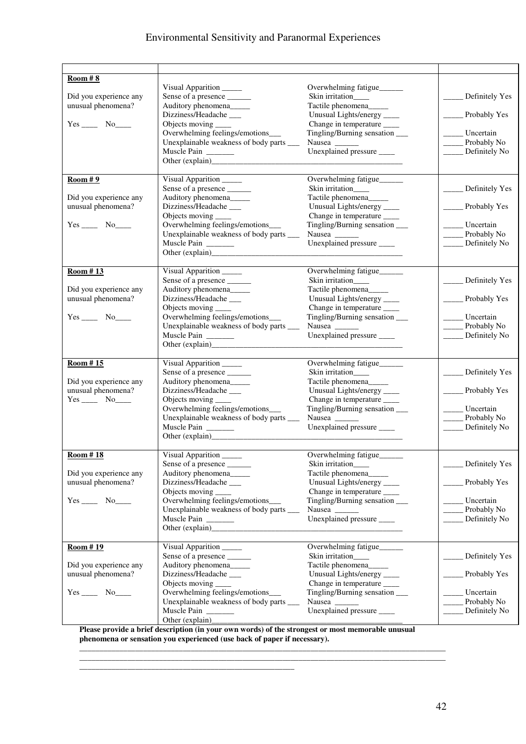| Room # 8               |                                           |                                 |                       |
|------------------------|-------------------------------------------|---------------------------------|-----------------------|
|                        | Visual Apparition                         | Overwhelming fatigue______      |                       |
| Did you experience any |                                           | Skin irritation___              | Definitely Yes        |
| unusual phenomena?     |                                           |                                 |                       |
|                        | Auditory phenomena_____                   | Tactile phenomena_____          |                       |
|                        | Dizziness/Headache__                      | Unusual Lights/energy ____      | Probably Yes          |
| $Yes$ No $No$          | Objects moving _____                      | Change in temperature ___       |                       |
|                        | Overwhelming feelings/emotions___         | Tingling/Burning sensation ____ | Uncertain             |
|                        | Unexplainable weakness of body parts ____ | Nausea ______                   | Probably No           |
|                        | Muscle Pain                               | Unexplained pressure _____      | Definitely No         |
|                        |                                           |                                 |                       |
|                        |                                           |                                 |                       |
| Room#9                 | Visual Apparition                         | Overwhelming fatigue            |                       |
|                        | Sense of a presence _______               | Skin irritation___              | Definitely Yes        |
| Did you experience any | Auditory phenomena_____                   | Tactile phenomena_____          |                       |
| unusual phenomena?     | Dizziness/Headache                        | Unusual Lights/energy ____      | ________ Probably Yes |
|                        | Objects moving _____                      | Change in temperature           |                       |
|                        | Overwhelming feelings/emotions___         | Tingling/Burning sensation ____ | Uncertain             |
|                        | Unexplainable weakness of body parts ____ |                                 | Probably No           |
|                        |                                           |                                 |                       |
|                        | Muscle Pain                               | Unexplained pressure _____      | Definitely No         |
|                        | Other (explain)                           |                                 |                       |
|                        |                                           |                                 |                       |
| Room #13               | Visual Apparition                         | Overwhelming fatigue            |                       |
|                        | Sense of a presence _______               | Skin irritation____             | Definitely Yes        |
| Did you experience any | Auditory phenomena_____                   | Tactile phenomena_____          |                       |
| unusual phenomena?     | Dizziness/Headache__                      | Unusual Lights/energy ____      | ________ Probably Yes |
|                        | Objects moving _____                      | Change in temperature ____      |                       |
| $Yes$ No $No$          | Overwhelming feelings/emotions_           | Tingling/Burning sensation ____ | Uncertain             |
|                        | Unexplainable weakness of body parts ____ | Nausea ______                   | Probably No           |
|                        | Muscle Pain                               | Unexplained pressure _____      | Definitely No         |
|                        |                                           |                                 |                       |
|                        |                                           |                                 |                       |
|                        |                                           |                                 |                       |
| Room #15               | Visual Apparition                         | Overwhelming fatigue            |                       |
|                        | Sense of a presence _______               | Skin irritation___              | Definitely Yes        |
| Did you experience any | Auditory phenomena_____                   | Tactile phenomena_____          |                       |
| unusual phenomena?     | Dizziness/Headache__                      | Unusual Lights/energy _____     | Probably Yes          |
|                        | Objects moving ______                     | Change in temperature ____      |                       |
|                        | Overwhelming feelings/emotions___         | Tingling/Burning sensation ____ | Uncertain             |
|                        | Unexplainable weakness of body parts ____ | Nausea ____                     | Probably No           |
|                        | Muscle Pain                               | Unexplained pressure _____      | Definitely No         |
|                        |                                           |                                 |                       |
|                        |                                           |                                 |                       |
| Room #18               | Visual Apparition                         | Overwhelming fatigue            |                       |
|                        | Sense of a presence                       | Skin irritation___              | Definitely Yes        |
| Did you experience any | Auditory phenomena_____                   | Tactile phenomena_              |                       |
| unusual phenomena?     | Dizziness/Headache_                       | Unusual Lights/energy ____      | Probably Yes          |
|                        | Objects moving                            | Change in temperature ____      |                       |
|                        | Overwhelming feelings/emotions___         | Tingling/Burning sensation ____ | Uncertain             |
|                        |                                           |                                 |                       |
|                        | Unexplainable weakness of body parts      | Nausea ______                   | Probably No           |
|                        | Muscle Pain                               | Unexplained pressure _____      | Definitely No         |
|                        |                                           |                                 |                       |
|                        |                                           |                                 |                       |
| Room #19               | Visual Apparition                         | Overwhelming fatigue            |                       |
|                        | Sense of a presence _______               | Skin irritation____             | Definitely Yes        |
| Did you experience any | Auditory phenomena_____                   | Tactile phenomena_____          |                       |
| unusual phenomena?     | Dizziness/Headache___                     | Unusual Lights/energy _____     | Probably Yes          |
|                        | Objects moving _____                      | Change in temperature ____      |                       |
| $Yes \_\_\_ No \_\_\_$ | Overwhelming feelings/emotions___         | Tingling/Burning sensation ____ | Uncertain             |
|                        | Unexplainable weakness of body parts ____ | Nausea _____                    | Probably No           |
|                        | Muscle Pain                               | Unexplained pressure _____      | Definitely No         |
|                        | Other (explain)_                          |                                 |                       |
| m <sub>1</sub>         |                                           |                                 |                       |

Please provide a brief description (in your own words) of the strongest or most memorable unusual phenomena or sensation you experienced (use back of paper if necessary).

\_\_\_\_\_\_\_\_\_\_\_\_\_\_\_\_\_\_\_\_\_\_\_\_\_\_\_\_\_\_\_\_\_\_\_\_\_\_\_\_\_\_\_\_\_\_\_\_\_\_\_\_\_\_

 $\_$  ,  $\_$  ,  $\_$  ,  $\_$  ,  $\_$  ,  $\_$  ,  $\_$  ,  $\_$  ,  $\_$  ,  $\_$  ,  $\_$  ,  $\_$  ,  $\_$  ,  $\_$  ,  $\_$  ,  $\_$  ,  $\_$  ,  $\_$  ,  $\_$  ,  $\_$  ,  $\_$  ,  $\_$  ,  $\_$  ,  $\_$  ,  $\_$  ,  $\_$  ,  $\_$  ,  $\_$  ,  $\_$  ,  $\_$  ,  $\_$  ,  $\_$  ,  $\_$  ,  $\_$  ,  $\_$  ,  $\_$  ,  $\_$  ,  $\_$  ,  $\_$  ,  $\_$  ,  $\_$  ,  $\_$  ,  $\_$  ,  $\_$  ,  $\_$  ,  $\_$  ,  $\_$  ,  $\_$  ,  $\_$  ,  $\_$  ,  $\_$  ,  $\_$  ,  $\_$  ,  $\_$  ,  $\_$  ,  $\_$  ,  $\_$  ,  $\_$  ,  $\_$  ,  $\_$  ,  $\_$  ,  $\_$  ,  $\_$  ,  $\_$  ,  $\_$  ,  $\_$  ,  $\_$  ,  $\_$  ,  $\_$  ,  $\_$  ,  $\_$  ,  $\_$  ,  $\_$  ,  $\_$  ,